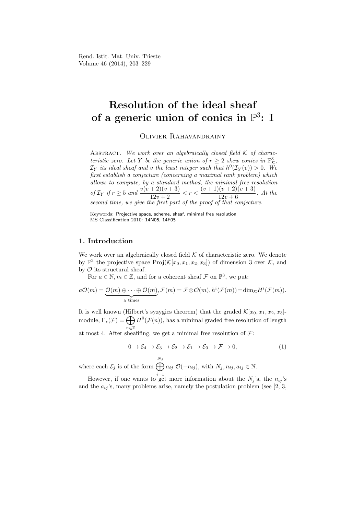Rend. Istit. Mat. Univ. Trieste Volume 46 (2014), 203–229

# Resolution of the ideal sheaf of a generic union of conics in  $\mathbb{P}^3$ : I

Olivier Rahavandrainy

ABSTRACT. We work over an algebraically closed field  $K$  of characteristic zero. Let Y be the generic union of  $r \geq 2$  skew conics in  $\mathbb{P}^3_{\mathcal{K}}$ ,  $\mathcal{I}_Y$  its ideal sheaf and v the least integer such that  $h^0(\mathcal{I}_Y(v)) > 0$ . We first establish a conjecture (concerning a maximal rank problem) which allows to compute, by a standard method, the minimal free resolution of  $\mathcal{I}_Y$  if  $r \ge 5$  and  $\frac{v(v+2)(v+3)}{12v+2} < r < \frac{(v+1)(v+2)(v+3)}{12v+6}$  $\frac{(v+2)(v+3)}{12v+6}$ . At the second time, we give the first part of the proof of that conjecture.

Keywords: Projective space, scheme, sheaf, minimal free resolution MS Classification 2010: 14N05, 14F05

### 1. Introduction

We work over an algebraically closed field  $K$  of characteristic zero. We denote by  $\mathbb{P}^3$  the projective space  $\text{Proj}(\mathcal{K}[x_0,x_1,x_2,x_3])$  of dimension 3 over  $\mathcal{K}$ , and by  $\mathcal O$  its structural sheaf.

For  $a \in \mathbb{N}, m \in \mathbb{Z}$ , and for a coherent sheaf  $\mathcal F$  on  $\mathbb{P}^3$ , we put:

$$
a\mathcal{O}(m) = \underbrace{\mathcal{O}(m) \oplus \cdots \oplus \mathcal{O}(m)}_{\text{a times}}, \mathcal{F}(m) = \mathcal{F} \otimes \mathcal{O}(m), h^{i}(\mathcal{F}(m)) = \dim_{\mathcal{K}} H^{i}(\mathcal{F}(m)).
$$

It is well known (Hilbert's syzygies theorem) that the graded  $\mathcal{K}[x_0, x_1, x_2, x_3]$ module,  $\Gamma_*(\mathcal{F}) = \bigoplus H^0(\mathcal{F}(n))$ , has a minimal graded free resolution of length n∈Z at most 4. After sheafifing, we get a minimal free resolution of  $\mathcal{F}$ :

$$
0 \to \mathcal{E}_4 \to \mathcal{E}_3 \to \mathcal{E}_2 \to \mathcal{E}_1 \to \mathcal{E}_0 \to \mathcal{F} \to 0,
$$
\n(1)

where each  $\mathcal{E}_j$  is of the form  $\bigoplus$  $N_j$  $a_{ij} \mathcal{O}(-n_{ij}),$  with  $N_j, n_{ij}, a_{ij} \in \mathbb{N}.$ 

However, if one wants to get more information about the  $N_j$ 's, the  $n_{ij}$ 's and the  $a_{ij}$ 's, many problems arise, namely the postulation problem (see [2, 3,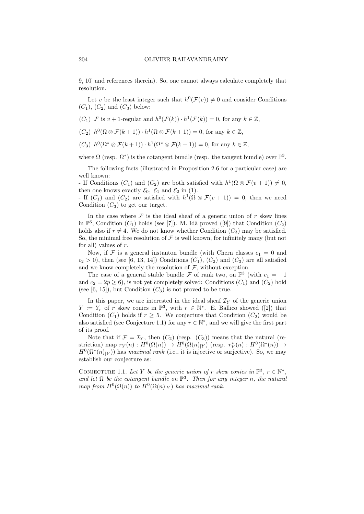9, 10] and references therein). So, one cannot always calculate completely that resolution.

Let v be the least integer such that  $h^0(\mathcal{F}(v)) \neq 0$  and consider Conditions  $(C_1)$ ,  $(C_2)$  and  $(C_3)$  below:

 $(C_1)$  *F* is  $v + 1$ -regular and  $h^0(\mathcal{F}(k)) \cdot h^1(\mathcal{F}(k)) = 0$ , for any  $k \in \mathbb{Z}$ ,

 $(C_2)$   $h^0(\Omega \otimes \mathcal{F}(k+1)) \cdot h^1(\Omega \otimes \mathcal{F}(k+1)) = 0$ , for any  $k \in \mathbb{Z}$ ,

 $(C_3)$   $h^0(\Omega^* \otimes \mathcal{F}(k+1)) \cdot h^1(\Omega^* \otimes \mathcal{F}(k+1)) = 0$ , for any  $k \in \mathbb{Z}$ ,

where  $\Omega$  (resp.  $\Omega^*$ ) is the cotangent bundle (resp. the tangent bundle) over  $\mathbb{P}^3$ .

The following facts (illustrated in Proposition 2.6 for a particular case) are well known:

- If Conditions  $(C_1)$  and  $(C_2)$  are both satisfied with  $h^1(\Omega \otimes \mathcal{F}(v+1)) \neq 0$ , then one knows exactly  $\mathcal{E}_0$ ,  $\mathcal{E}_1$  and  $\mathcal{E}_2$  in (1).

- If  $(C_1)$  and  $(C_2)$  are satisfied with  $h^1(\Omega \otimes \mathcal{F}(v+1)) = 0$ , then we need Condition  $(C_3)$  to get our target.

In the case where  $\mathcal F$  is the ideal sheaf of a generic union of  $r$  skew lines in  $\mathbb{P}^3$ , Condition  $(C_1)$  holds (see [7]). M. Idà proved ([9]) that Condition  $(C_2)$ holds also if  $r \neq 4$ . We do not know whether Condition  $(C_3)$  may be satisfied. So, the minimal free resolution of  $\mathcal F$  is well known, for infinitely many (but not for all) values of  $r$ .

Now, if F is a general instanton bundle (with Chern classes  $c_1 = 0$  and  $c_2 > 0$ , then (see [6, 13, 14]) Conditions  $(C_1)$ ,  $(C_2)$  and  $(C_3)$  are all satisfied and we know completely the resolution of  $\mathcal{F}$ , without exception.

The case of a general stable bundle  $\mathcal F$  of rank two, on  $\mathbb P^3$  (with  $c_1 = -1$ and  $c_2 = 2p \ge 6$ , is not yet completely solved: Conditions  $(C_1)$  and  $(C_2)$  hold (see [6, 15]), but Condition  $(C_3)$  is not proved to be true.

In this paper, we are interested in the ideal sheaf  $\mathcal{I}_Y$  of the generic union  $Y := Y_r$  of r skew conics in  $\mathbb{P}^3$ , with  $r \in \mathbb{N}^*$ . E. Ballico showed ([2]) that Condition  $(C_1)$  holds if  $r \geq 5$ . We conjecture that Condition  $(C_2)$  would be also satisfied (see Conjecture 1.1) for any  $r \in \mathbb{N}^*$ , and we will give the first part of its proof.

Note that if  $\mathcal{F} = \mathcal{I}_Y$ , then  $(C_2)$  (resp.  $(C_3)$ ) means that the natural (restriction) map  $r_Y(n) : H^0(\Omega(n)) \to H^0(\Omega(n)_{|Y})$  (resp.  $r_Y^*(n) : H^0(\Omega^*(n)) \to$  $H^0(\Omega^*(n)|_Y)$  has maximal rank (i.e., it is injective or surjective). So, we may establish our conjecture as:

CONJECTURE 1.1. Let Y be the generic union of r skew conics in  $\mathbb{P}^3$ ,  $r \in \mathbb{N}^*$ , and let  $\Omega$  be the cotangent bundle on  $\mathbb{P}^3$ . Then for any integer n, the natural map from  $H^0(\Omega(n))$  to  $H^0(\Omega(n)|_Y)$  has maximal rank.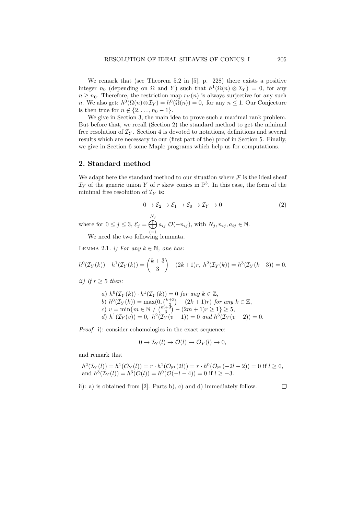We remark that (see Theorem 5.2 in [5], p. 228) there exists a positive integer  $n_0$  (depending on  $\Omega$  and Y) such that  $h^1(\Omega(n) \otimes \mathcal{I}_Y) = 0$ , for any  $n \geq n_0$ . Therefore, the restriction map  $r_Y(n)$  is always surjective for any such *n*. We also get:  $h^0(\Omega(n) \otimes \mathcal{I}_Y) = h^0(\Omega(n)) = 0$ , for any  $n \leq 1$ . Our Conjecture is then true for  $n \notin \{2, \ldots, n_0 - 1\}.$ 

We give in Section 3, the main idea to prove such a maximal rank problem. But before that, we recall (Section 2) the standard method to get the minimal free resolution of  $\mathcal{I}_Y$ . Section 4 is devoted to notations, definitions and several results which are necessary to our (first part of the) proof in Section 5. Finally, we give in Section 6 some Maple programs which help us for computations.

### 2. Standard method

We adapt here the standard method to our situation where  $\mathcal F$  is the ideal sheaf  $\mathcal{I}_Y$  of the generic union Y of r skew conics in  $\mathbb{P}^3$ . In this case, the form of the minimal free resolution of  $\mathcal{I}_Y$  is:

$$
0 \to \mathcal{E}_2 \to \mathcal{E}_1 \to \mathcal{E}_0 \to \mathcal{I}_Y \to 0 \tag{2}
$$

where for  $0 \leq j \leq 3$ ,  $\mathcal{E}_j = \bigoplus$  $N_j$  $i=1$  $a_{ij} \mathcal{O}(-n_{ij}),$  with  $N_j, n_{ij}, a_{ij} \in \mathbb{N}$ .

We need the two following lemmata.

LEMMA 2.1. i) For any  $k \in \mathbb{N}$ , one has:

$$
h^{0}(\mathcal{I}_{Y}(k)) - h^{1}(\mathcal{I}_{Y}(k)) = {k+3 \choose 3} - (2k+1)r, \ h^{2}(\mathcal{I}_{Y}(k)) = h^{3}(\mathcal{I}_{Y}(k-3)) = 0.
$$

ii) If  $r \geq 5$  then:

a) 
$$
h^0(\mathcal{I}_Y(k)) \cdot h^1(\mathcal{I}_Y(k)) = 0
$$
 for any  $k \in \mathbb{Z}$ ,  
\nb)  $h^0(\mathcal{I}_Y(k)) = \max(0, {k+3 \choose 3} - (2k+1)r)$  for any  $k \in \mathbb{Z}$ ,  
\nc)  $v = \min\{m \in \mathbb{N} / {m+3 \choose 3} - (2m+1)r \ge 1\} \ge 5$ ,  
\nd)  $h^1(\mathcal{I}_Y(v)) = 0$ ,  $h^2(\mathcal{I}_Y(v-1)) = 0$  and  $h^3(\mathcal{I}_Y(v-2)) = 0$ .

Proof. i): consider cohomologies in the exact sequence:

$$
0 \to \mathcal{I}_Y(l) \to \mathcal{O}(l) \to \mathcal{O}_Y(l) \to 0,
$$

and remark that

$$
h^{2}(\mathcal{I}_{Y}(l)) = h^{1}(\mathcal{O}_{Y}(l)) = r \cdot h^{1}(\mathcal{O}_{\mathbb{P}^{1}}(2l)) = r \cdot h^{0}(\mathcal{O}_{\mathbb{P}^{1}}(-2l - 2)) = 0 \text{ if } l \ge 0,
$$
  
and  $h^{3}(\mathcal{I}_{Y}(l)) = h^{3}(\mathcal{O}(l)) = h^{0}(\mathcal{O}(-l - 4)) = 0 \text{ if } l \ge -3.$ 

ii): a) is obtained from [2]. Parts b), c) and d) immediately follow. $\Box$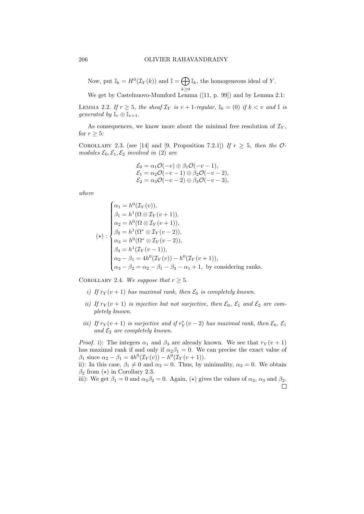#### 206 OLIVIER RAHAVANDRAINY

Now, put  $\mathbb{I}_k = H^0(\mathcal{I}_Y(k))$  and  $\mathbb{I} = \bigoplus \mathbb{I}_k$ , the homogeneous ideal of Y.  $k{\geq}0$ 

We get by Castelnuovo-Mumford Lemma ([11, p. 99]) and by Lemma 2.1:

LEMMA 2.2. If  $r \geq 5$ , the sheaf  $\mathcal{I}_Y$  is  $v + 1$ -regular,  $\mathbb{I}_k = (0)$  if  $k < v$  and  $\mathbb{I}$  is generated by  $\mathbb{I}_v \oplus \mathbb{I}_{v+1}$ .

As consequences, we know more about the minimal free resolution of  $\mathcal{I}_Y$ , for  $r \geq 5$ :

COROLLARY 2.3. (see [14] and [9, Proposition 7.2.1]) If  $r \geq 5$ , then the  $\mathcal{O}$ modules  $\mathcal{E}_0, \mathcal{E}_1, \mathcal{E}_2$  involved in (2) are

$$
\mathcal{E}_0 = \alpha_1 \mathcal{O}(-v) \oplus \beta_1 \mathcal{O}(-v-1), \n\mathcal{E}_1 = \alpha_2 \mathcal{O}(-v-1) \oplus \beta_2 \mathcal{O}(-v-2), \n\mathcal{E}_2 = \alpha_3 \mathcal{O}(-v-2) \oplus \beta_3 \mathcal{O}(-v-3),
$$

where

$$
\begin{cases}\n\alpha_1 = h^0(\mathcal{I}_Y(v)), \\
\beta_1 = h^1(\Omega \otimes \mathcal{I}_Y(v+1)), \\
\alpha_2 = h^0(\Omega \otimes \mathcal{I}_Y(v+1)), \\
\beta_2 = h^1(\Omega^* \otimes \mathcal{I}_Y(v-2)), \\
\alpha_3 = h^0(\Omega^* \otimes \mathcal{I}_Y(v-2)), \\
\beta_3 = h^1(\mathcal{I}_Y(v-1)), \\
\alpha_2 - \beta_1 = 4h^0(\mathcal{I}_Y(v)) - h^0(\mathcal{I}_Y(v+1)), \\
\alpha_3 - \beta_2 = \alpha_2 - \beta_1 - \beta_3 - \alpha_1 + 1, \text{ by considering ranks.}\n\end{cases}
$$

COROLLARY 2.4. We suppose that  $r \geq 5$ .

- i) If  $r_Y(v+1)$  has maximal rank, then  $\mathcal{E}_0$  is completely known.
- ii) If  $r_Y(v+1)$  is injective but not surjective, then  $\mathcal{E}_0$ ,  $\mathcal{E}_1$  and  $\mathcal{E}_2$  are completely known.
- iii) If  $r_Y(v+1)$  is surjective and if  $r_Y^*(v-2)$  has maximal rank, then  $\mathcal{E}_0$ ,  $\mathcal{E}_1$ and  $\mathcal{E}_2$  are completely known.

*Proof.* i): The integers  $\alpha_1$  and  $\beta_3$  are already known. We see that  $r_Y(v+1)$ has maximal rank if and only if  $\alpha_2\beta_1 = 0$ . We can precise the exact value of  $β_1$  since  $α_2 − β_1 = 4h^0(\mathcal{I}_Y(v)) - h^0(\mathcal{I}_Y(v+1)).$ 

ii): In this case,  $\beta_1 \neq 0$  and  $\alpha_2 = 0$ . Thus, by minimality,  $\alpha_3 = 0$ . We obtain  $\beta_2$  from  $(\star)$  in Corollary 2.3.

iii): We get  $\beta_1 = 0$  and  $\alpha_3 \beta_2 = 0$ . Again, (\*) gives the values of  $\alpha_2$ ,  $\alpha_3$  and  $\beta_2$ .  $\Box$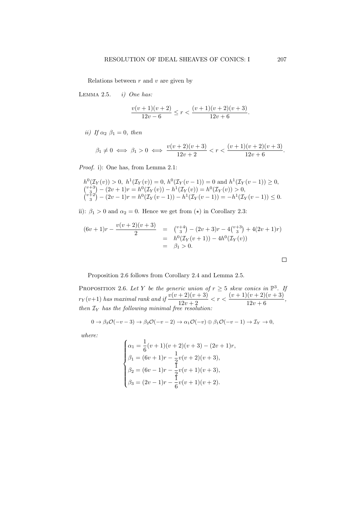Relations between  $r$  and  $v$  are given by

LEMMA 2.5.  $i)$  One has:

$$
\frac{v(v+1)(v+2)}{12v-6} \le r < \frac{(v+1)(v+2)(v+3)}{12v+6}.
$$

ii) If  $\alpha_2$   $\beta_1 = 0$ , then

$$
\beta_1 \neq 0 \iff \beta_1 > 0 \iff \frac{v(v+2)(v+3)}{12v+2} < r < \frac{(v+1)(v+2)(v+3)}{12v+6}.
$$

Proof. i): One has, from Lemma 2.1:

$$
h^0(\mathcal{I}_Y(v)) > 0, \ h^1(\mathcal{I}_Y(v)) = 0, \ h^0(\mathcal{I}_Y(v-1)) = 0 \text{ and } h^1(\mathcal{I}_Y(v-1)) \ge 0,
$$
  
\n
$$
\binom{v+3}{3} - (2v+1)r = h^0(\mathcal{I}_Y(v)) - h^1(\mathcal{I}_Y(v)) = h^0(\mathcal{I}_Y(v)) > 0,
$$
  
\n
$$
\binom{v+2}{3} - (2v-1)r = h^0(\mathcal{I}_Y(v-1)) - h^1(\mathcal{I}_Y(v-1)) = -h^1(\mathcal{I}_Y(v-1)) \le 0.
$$

ii):  $\beta_1 > 0$  and  $\alpha_2 = 0$ . Hence we get from  $(\star)$  in Corollary 2.3:

$$
(6v+1)r - \frac{v(v+2)(v+3)}{2} = \binom{v+4}{3} - (2v+3)r - 4\binom{v+3}{3} + 4(2v+1)r
$$
  
=  $h^0(\mathcal{I}_Y(v+1)) - 4h^0(\mathcal{I}_Y(v))$   
=  $\beta_1 > 0.$ 

Proposition 2.6 follows from Corollary 2.4 and Lemma 2.5.

PROPOSITION 2.6. Let Y be the generic union of  $r \geq 5$  skew conics in  $\mathbb{P}^3$ . If  $r_Y(v+1)$  has maximal rank and if  $\frac{v(v+2)(v+3)}{12v+2} < r < \frac{(v+1)(v+2)(v+3)}{12v+6}$  $\frac{12v+6}{12v+6},$ then  $\mathcal{I}_Y$  has the following minimal free resolution:

$$
0 \to \beta_3 \mathcal{O}(-v-3) \to \beta_2 \mathcal{O}(-v-2) \to \alpha_1 \mathcal{O}(-v) \oplus \beta_1 \mathcal{O}(-v-1) \to \mathcal{I}_Y \to 0,
$$

where:

$$
\begin{cases}\n\alpha_1 = \frac{1}{6}(v+1)(v+2)(v+3) - (2v+1)r, \\
\beta_1 = (6v+1)r - \frac{1}{2}v(v+2)(v+3), \\
\beta_2 = (6v-1)r - \frac{1}{2}v(v+1)(v+3), \\
\beta_3 = (2v-1)r - \frac{1}{6}v(v+1)(v+2).\n\end{cases}
$$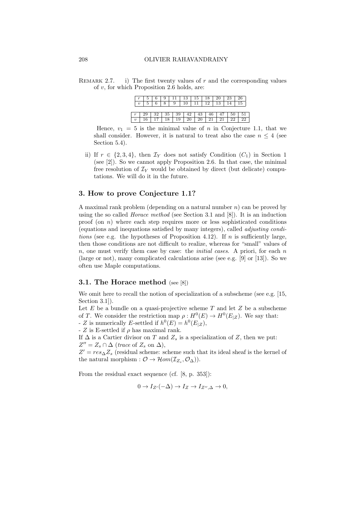REMARK 2.7. i) The first twenty values of  $r$  and the corresponding values of v, for which Proposition 2.6 holds, are:

|  |  |  |  |  | $r$   5   6   9   11   13   15   18   20   23   26    |
|--|--|--|--|--|-------------------------------------------------------|
|  |  |  |  |  | $v$ 5 6 8 9 10 11 12 13 14 15                         |
|  |  |  |  |  |                                                       |
|  |  |  |  |  | $r   29   32   35   39   42   43   46   47   50   51$ |
|  |  |  |  |  | v 16 17 18 19 20 20 21 21 22 22                       |

Hence,  $v_1 = 5$  is the minimal value of n in Conjecture 1.1, that we shall consider. However, it is natural to treat also the case  $n \leq 4$  (see Section 5.4).

ii) If  $r \in \{2, 3, 4\}$ , then  $\mathcal{I}_Y$  does not satisfy Condition  $(C_1)$  in Section 1 (see [2]). So we cannot apply Proposition 2.6. In that case, the minimal free resolution of  $\mathcal{I}_Y$  would be obtained by direct (but delicate) computations. We will do it in the future.

### 3. How to prove Conjecture 1.1?

A maximal rank problem (depending on a natural number  $n$ ) can be proved by using the so called Horace method (see Section 3.1 and [8]). It is an induction proof (on  $n$ ) where each step requires more or less sophisticated conditions (equations and inequations satisfied by many integers), called adjusting conditions (see e.g. the hypotheses of Proposition 4.12). If n is sufficiently large, then those conditions are not difficult to realize, whereas for "small" values of n, one must verify them case by case: the *initial cases*. A priori, for each n (large or not), many complicated calculations arise (see e.g. [9] or [13]). So we often use Maple computations.

### 3.1. The Horace method (see [8])

We omit here to recall the notion of specialization of a subscheme (see e.g. [15, Section 3.1]).

Let E be a bundle on a quasi-projective scheme T and let Z be a subscheme of T. We consider the restriction map  $\rho: H^0(E) \to H^0(E_{|Z})$ . We say that:

- Z is numerically E-settled if  $h^0(E) = h^0(E_{|Z})$ ,

-  $Z$  is E-settled if  $\rho$  has maximal rank.

If  $\Delta$  is a Cartier divisor on T and  $Z_s$  is a specialization of Z, then we put:  $Z'' = Z_s \cap \Delta$  (trace of  $Z_s$  on  $\Delta$ ),

 $Z' = res_{\Delta} Z_s$  (residual scheme: scheme such that its ideal sheaf is the kernel of the natural morphism :  $\mathcal{O} \to \mathcal{H}om(\mathcal{I}_{Z_s}, \mathcal{O}_{\Delta})$ .

From the residual exact sequence (cf. [8, p. 353]):

$$
0 \to I_{Z'}(-\Delta) \to I_Z \to I_{Z'',\Delta} \to 0,
$$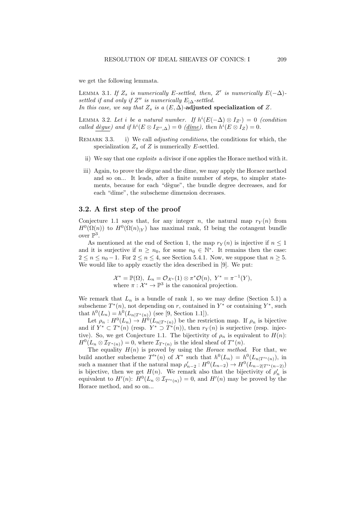we get the following lemmata.

LEMMA 3.1. If  $Z_s$  is numerically E-settled, then, Z' is numerically  $E(-\Delta)$ settled if and only if  $Z''$  is numerically  $E_{|\Delta}$ -settled. In this case, we say that  $Z_s$  is a  $(E, \Delta)$ -adjusted specialization of Z.

LEMMA 3.2. Let i be a natural number. If  $h^{i}(E(-\Delta) \otimes I_{Z}) = 0$  (condition called dègue) and if  $h^{i}(E \otimes I_{Z'',\Delta}) = 0$  (dîme), then  $h^{i}(E \otimes I_Z) = 0$ .

- REMARK 3.3. i) We call *adjusting conditions*, the conditions for which, the specialization  $Z_s$  of  $Z$  is numerically E-settled.
	- ii) We say that one *exploits* a divisor if one applies the Horace method with it.
	- iii) Again, to prove the dègue and the dîme, we may apply the Horace method and so on... It leads, after a finite number of steps, to simpler statements, because for each "dègue", the bundle degree decreases, and for each "dîme", the subscheme dimension decreases.

### 3.2. A first step of the proof

Conjecture 1.1 says that, for any integer n, the natural map  $r_Y(n)$  from  $H^0(\Omega(n))$  to  $H^0(\Omega(n)|_Y)$  has maximal rank,  $\Omega$  being the cotangent bundle over  $\mathbb{P}^3$ .

As mentioned at the end of Section 1, the map  $r_Y(n)$  is injective if  $n \leq 1$ and it is surjective if  $n \geq n_0$ , for some  $n_0 \in \mathbb{N}^*$ . It remains then the case:  $2 \le n \le n_0 - 1$ . For  $2 \le n \le 4$ , see Section 5.4.1. Now, we suppose that  $n \ge 5$ . We would like to apply exactly the idea described in [9]. We put:

$$
\mathcal{X}^* = \mathbb{P}(\Omega), L_n = \mathcal{O}_{\mathcal{X}^*}(1) \otimes \pi^* \mathcal{O}(n), Y^* = \pi^{-1}(Y),
$$
  
where  $\pi : \mathcal{X}^* \to \mathbb{P}^3$  is the canonical projection.

We remark that  $L_n$  is a bundle of rank 1, so we may define (Section 5.1) a subscheme  $T^*(n)$ , not depending on r, contained in  $Y^*$  or containing  $Y^*$ , such that  $h^0(L_n) = h^0(L_{n|T^*(n)})$  (see [9, Section 1.1]).

Let  $\rho_n: H^0(L_n) \to H^0(L_{n|T^*(n)})$  be the restriction map. If  $\rho_n$  is bijective and if  $Y^* \subset T^*(n)$  (resp.  $Y^* \supset T^*(n)$ ), then  $r_Y(n)$  is surjective (resp. injective). So, we get Conjecture 1.1. The bijectivity of  $\rho_n$  is equivalent to  $H(n)$ :  $H^0(L_n \otimes \mathcal{I}_{T^*(n)}) = 0$ , where  $\mathcal{I}_{T^*(n)}$  is the ideal sheaf of  $T^*(n)$ .

The equality  $H(n)$  is proved by using the *Horace method*. For that, we build another subscheme  $T^{'}(n)$  of  $\mathcal{X}^*$  such that  $h^0(L_n) = h^0(L_{n|T^{'}(n)})$ , in such a manner that if the natural map  $\rho'_{n-2}: H^0(L_{n-2}) \to H^0(L_{n-2}|T^{r}(n-2)})$ is bijective, then we get  $H(n)$ . We remark also that the bijectivity of  $\rho'_n$  is equivalent to  $H'(n)$ :  $H^0(L_n \otimes \mathcal{I}_{T'^*(n)}) = 0$ , and  $H'(n)$  may be proved by the Horace method, and so on...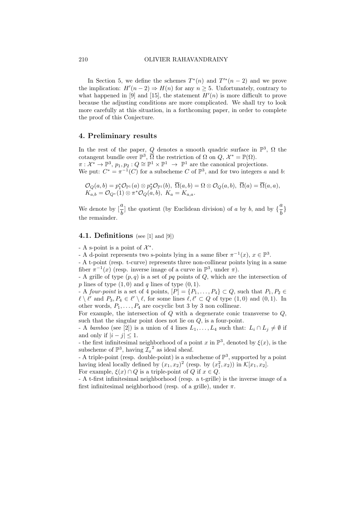In Section 5, we define the schemes  $T^*(n)$  and  $T'^*(n-2)$  and we prove the implication:  $H'(n-2) \Rightarrow H(n)$  for any  $n \geq 5$ . Unfortunately, contrary to what happened in [9] and [15], the statement  $H'(n)$  is more difficult to prove because the adjusting conditions are more complicated. We shall try to look more carefully at this situation, in a forthcoming paper, in order to complete the proof of this Conjecture.

# 4. Preliminary results

In the rest of the paper, Q denotes a smooth quadric surface in  $\mathbb{P}^3$ ,  $\Omega$  the cotangent bundle over  $\mathbb{P}^3$ ,  $\overline{\Omega}$  the restriction of  $\Omega$  on  $Q$ ,  $\mathcal{X}^* = \mathbb{P}(\Omega)$ .  $\pi: \mathcal{X}^* \to \mathbb{P}^3$ ,  $p_1, p_2: Q \cong \mathbb{P}^1 \times \mathbb{P}^1 \to \mathbb{P}^1$  are the canonical projections. We put:  $C^* = \pi^{-1}(C)$  for a subscheme C of  $\mathbb{P}^3$ , and for two integers a and b:

$$
\mathcal{O}_Q(a,b) = p_1^* \mathcal{O}_{\mathbb{P}^1}(a) \otimes p_2^* \mathcal{O}_{\mathbb{P}^1}(b), \ \overline{\Omega}(a,b) = \Omega \otimes \mathcal{O}_Q(a,b), \ \overline{\Omega}(a) = \overline{\Omega}(a,a), K_{a,b} = \mathcal{O}_{Q^*}(1) \otimes \pi^* \mathcal{O}_Q(a,b), \ K_a = K_{a,a}.
$$

We denote by  $\left[\frac{a}{b}\right]$  the quotient (by Euclidean division) of a by b, and by  $\left\{\frac{a}{b}\right\}$  $\frac{a}{b}$ the remainder.

### **4.1. Definitions** (see [1] and [9])

- A s-point is a point of  $\mathcal{X}^*$ .

- A d-point represents two s-points lying in a same fiber  $\pi^{-1}(x), x \in \mathbb{P}^3$ .

- A t-point (resp. t-curve) represents three non-collinear points lying in a same fiber  $\pi^{-1}(x)$  (resp. inverse image of a curve in  $\mathbb{P}^3$ , under  $\pi$ ).

- A grille of type  $(p, q)$  is a set of  $pq$  points of  $Q$ , which are the intersection of p lines of type  $(1, 0)$  and q lines of type  $(0, 1)$ .

- A four-point is a set of 4 points,  $[P] = \{P_1, \ldots, P_4\} \subset Q$ , such that  $P_1, P_2 \in$  $\ell \setminus \ell'$  and  $P_3, P_4 \in \ell' \setminus \ell$ , for some lines  $\ell, \ell' \subset Q$  of type  $(1, 0)$  and  $(0, 1)$ . In other words,  $P_1, \ldots, P_4$  are cocyclic but 3 by 3 non collinear.

For example, the intersection of  $Q$  with a degenerate conic transverse to  $Q$ , such that the singular point does not lie on  $Q$ , is a four-point.

- A bamboo (see [2]) is a union of 4 lines  $L_1, \ldots, L_4$  such that:  $L_i \cap L_j \neq \emptyset$  if and only if  $|i - j| \leq 1$ .

- the first infinitesimal neighborhood of a point x in  $\mathbb{P}^3$ , denoted by  $\xi(x)$ , is the subscheme of  $\mathbb{P}^3$ , having  $\mathcal{I}_x^2$  as ideal sheaf.

- A triple-point (resp. double-point) is a subscheme of  $\mathbb{P}^3$ , supported by a point having ideal locally defined by  $(x_1, x_2)^2$  (resp. by  $(x_1^2, x_2)$ ) in  $\mathcal{K}[x_1, x_2]$ . For example,  $\xi(x) \cap Q$  is a triple-point of Q if  $x \in Q$ .

- A t-first infinitesimal neighborhood (resp. a t-grille) is the inverse image of a first infinitesimal neighborhood (resp. of a grille), under  $\pi$ .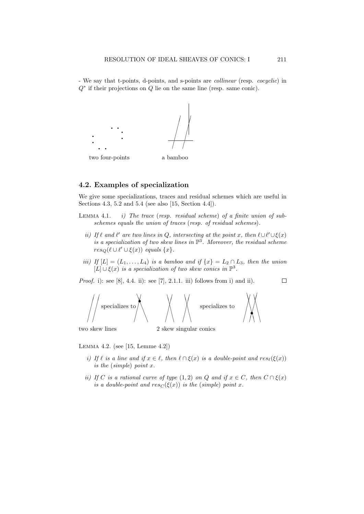- We say that t-points, d-points, and s-points are collinear (resp. cocyclic) in Q<sup>∗</sup> if their projections on Q lie on the same line (resp. same conic).



# 4.2. Examples of specialization

We give some specializations, traces and residual schemes which are useful in Sections 4.3, 5.2 and 5.4 (see also [15, Section 4.4]).

- LEMMA 4.1. *i)* The trace (resp. residual scheme) of a finite union of subschemes equals the union of traces (resp. of residual schemes).
	- ii) If  $\ell$  and  $\ell'$  are two lines in Q, intersecting at the point x, then  $\ell \cup \ell' \cup \xi(x)$ is a specialization of two skew lines in  $\mathbb{P}^3$ . Moreover, the residual scheme  $res_Q(\ell \cup \ell' \cup \xi(x))$  equals  $\{x\}.$
	- iii) If  $[L] = (L_1, \ldots, L_4)$  is a bamboo and if  $\{x\} = L_2 \cap L_3$ , then the union  $[L] \cup \xi(x)$  is a specialization of two skew conics in  $\mathbb{P}^3$ .

*Proof.* i): see [8], 4.4. ii): see [7], 2.1.1. iii) follows from i) and ii).



two skew lines

2 skew singular conics

Lemma 4.2. (see [15, Lemme 4.2])

- i) If  $\ell$  is a line and if  $x \in \ell$ , then  $\ell \cap \xi(x)$  is a double-point and  $res_{\ell}(\xi(x))$ is the (simple) point x.
- ii) If C is a rational curve of type  $(1,2)$  on Q and if  $x \in C$ , then  $C \cap \xi(x)$ is a double-point and  $res_C(\xi(x))$  is the (simple) point x.

 $\Box$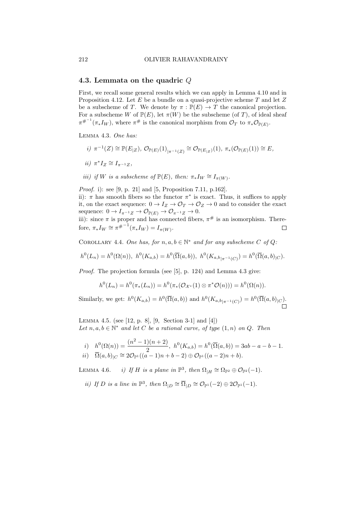### 4.3. Lemmata on the quadric Q

First, we recall some general results which we can apply in Lemma 4.10 and in Proposition 4.12. Let  $E$  be a bundle on a quasi-projective scheme  $T$  and let  $Z$ be a subscheme of T. We denote by  $\pi : \mathbb{P}(E) \to T$  the canonical projection. For a subscheme W of  $\mathbb{P}(E)$ , let  $\pi(W)$  be the subscheme (of T), of ideal sheaf  $\pi^{\#^{-1}}(\pi_* I_W)$ , where  $\pi^{\#}$  is the canonical morphism from  $\mathcal{O}_T$  to  $\pi_* \mathcal{O}_{\mathbb{P}(E)}$ .

Lemma 4.3. One has:

- $i)$   $\pi^{-1}(Z) \cong \mathbb{P}(E_{|Z}),$   $\mathcal{O}_{\mathbb{P}(E)}(1)_{|\pi^{-1}(Z)} \cong \mathcal{O}_{\mathbb{P}(E_{|Z})}(1),$   $\pi_*(\mathcal{O}_{\mathbb{P}(E)}(1)) \cong E$ ,
- ii)  $\pi^* I_Z \cong I_{\pi^{-1}Z}$ ,
- iii) if W is a subscheme of  $\mathbb{P}(E)$ , then:  $\pi_* I_W \cong I_{\pi(W)}$ .

Proof. i): see [9, p. 21] and [5, Proposition 7.11, p.162].

ii):  $\pi$  has smooth fibers so the functor  $\pi^*$  is exact. Thus, it suffices to apply it, on the exact sequence:  $0 \to I_Z \to \mathcal{O}_T \to \mathcal{O}_Z \to 0$  and to consider the exact sequence:  $0 \to I_{\pi^{-1}Z} \to \mathcal{O}_{\mathbb{P}(E)} \to \mathcal{O}_{\pi^{-1}Z} \to 0.$ 

iii): since  $\pi$  is proper and has connected fibers,  $\pi^{\#}$  is an isomorphism. Therefore,  $\pi_* I_W \cong \pi^{\# -1}(\pi_* I_W) = I_{\pi(W)}$ .

COROLLARY 4.4. One has, for  $n, a, b \in \mathbb{N}^*$  and for any subscheme C of Q:

$$
h^{0}(L_{n}) = h^{0}(\Omega(n)), \ h^{0}(K_{a,b}) = h^{0}(\overline{\Omega}(a,b)), \ h^{0}(K_{a,b_{\vert \pi^{-1}(C)}}) = h^{0}(\overline{\Omega}(a,b_{\vert C}).
$$

Proof. The projection formula (see [5], p. 124) and Lemma 4.3 give:

$$
h^{0}(L_{n})=h^{0}(\pi_{*}(L_{n}))=h^{0}(\pi_{*}(\mathcal{O}_{\mathcal{X}^{*}}(1)\otimes \pi^{*}\mathcal{O}(n)))=h^{0}(\Omega(n)).
$$

Similarly, we get:  $h^0(K_{a,b}) = h^0(\overline{\Omega}(a,b))$  and  $h^0(K_{a,b_{\vert \pi^{-1}(C)}}) = h^0(\overline{\Omega}(a,b_{\vert C})$ .

Lemma 4.5. (see [12, p. 8], [9, Section 3-1] and [4]) Let  $n, a, b \in \mathbb{N}^*$  and let C be a rational curve, of type  $(1, n)$  on Q. Then

*i*) 
$$
h^{0}(\Omega(n)) = \frac{(n^{2} - 1)(n + 2)}{2}
$$
,  $h^{0}(K_{a,b}) = h^{0}(\overline{\Omega}(a,b)) = 3ab - a - b - 1$ .  
\n*ii*)  $\overline{\Omega}(a,b)_{|C} \cong 2\mathcal{O}_{\mathbb{P}^{1}}((a-1)n + b - 2) \oplus \mathcal{O}_{\mathbb{P}^{1}}((a-2)n + b)$ .

LEMMA 4.6. *i)* If H is a plane in  $\mathbb{P}^3$ , then  $\Omega_{|H} \cong \Omega_{\mathbb{P}^2} \oplus \mathcal{O}_{\mathbb{P}^2}(-1)$ .

*ii*) If D is a line in  $\mathbb{P}^3$ , then  $\Omega_{|D} \cong \overline{\Omega}_{|D} \cong \mathcal{O}_{\mathbb{P}^1}(-2) \oplus 2\mathcal{O}_{\mathbb{P}^1}(-1)$ .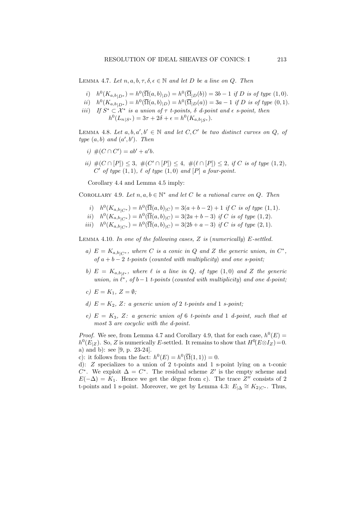LEMMA 4.7. Let  $n, a, b, \tau, \delta, \epsilon \in \mathbb{N}$  and let D be a line on Q. Then

- i)  $h^0(K_{a,b|D^*}) = h^0(\overline{\Omega}(a,b)|D) = h^0(\overline{\Omega}|D(b)) = 3b 1$  if D is of type  $(1,0)$ .
- ii)  $h^0(K_{a,b_{|D^*}}) = h^0(\overline{\Omega}(a,b)_{|D}) = h^0(\overline{\Omega}_{|D}(a)) = 3a 1$  if D is of type  $(0,1)$ .
- iii) If  $S^* \subset \mathcal{X}^*$  is a union of  $\tau$  t-points,  $\delta$  d-point and  $\epsilon$  s-point, then  $h^0(L_{n|S^*}) = 3\tau + 2\delta + \epsilon = h^0(K_{a,b|S^*}).$

LEMMA 4.8. Let  $a, b, a', b' \in \mathbb{N}$  and let  $C, C'$  be two distinct curves on  $Q$ , of type  $(a, b)$  and  $(a', b')$ . Then

- i)  $\#(C \cap C') = ab' + a'b$ .
- *ii*)  $\#(C \cap [P]) \leq 3$ ,  $\#(C' \cap [P]) \leq 4$ ,  $\#(\ell \cap [P]) \leq 2$ , *if C is of type* (1,2),  $C'$  of type  $(1,1)$ ,  $\ell$  of type  $(1,0)$  and  $[P]$  a four-point.

Corollary 4.4 and Lemma 4.5 imply:

COROLLARY 4.9. Let  $n, a, b \in \mathbb{N}^*$  and let C be a rational curve on Q. Then

- i)  $h^0(K_{a,b_{|C^*}}) = h^0(\overline{\Omega}(a,b)_{|C}) = 3(a+b-2)+1$  if C is of type  $(1,1)$ .
- ii)  $h^0(K_{a,b|C^*}) = h^0(\overline{\Omega}(a,b)|_C) = 3(2a+b-3)$  if C is of type  $(1,2)$ .
- iii)  $h^0(K_{a,b_{|C^*}}) = h^0(\overline{\Omega}(a,b)_{|C}) = 3(2b + a 3)$  if C is of type  $(2,1)$ .

LEMMA 4.10. In one of the following cases,  $Z$  is (numerically) E-settled.

- a)  $E = K_{a,b|C^*}$ , where C is a conic in Q and Z the generic union, in  $C^*$ , of  $a + b - 2$  t-points (counted with multiplicity) and one s-point;
- b)  $E = K_{a,b|\ell^*}$ , where  $\ell$  is a line in Q, of type  $(1,0)$  and Z the generic union, in  $\ell^*$ , of  $b-1$  t-points (counted with multiplicity) and one d-point;
- c)  $E = K_1, Z = \emptyset;$
- d)  $E = K_2$ , Z: a generic union of 2 t-points and 1 s-point;
- e)  $E = K_3$ , Z: a generic union of 6 t-points and 1 d-point, such that at most 3 are cocyclic with the d-point.

*Proof.* We see, from Lemma 4.7 and Corollary 4.9, that for each case,  $h^0(E)$  =  $h^0(E_{|Z})$ . So, Z is numerically E-settled. It remains to show that  $H^0(E \otimes I_Z) = 0$ . a) and b): see [9, p. 23-24].

c): it follows from the fact:  $h^0(E) = h^0(\overline{\Omega}(1,1)) = 0$ .

d): Z specializes to a union of 2 t-points and 1 s-point lying on a t-conic  $C^*$ . We exploit  $\Delta = C^*$ . The residual scheme Z' is the empty scheme and  $E(-\Delta) = K_1$ . Hence we get the dègue from c). The trace Z'' consists of 2 t-points and 1 s-point. Moreover, we get by Lemma 4.3:  $E_{|\Delta} \cong K_{2|C^*}$ . Thus,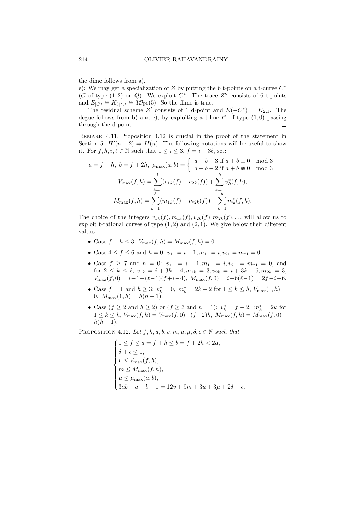the dîme follows from a).

e): We may get a specialization of  $Z$  by putting the 6 t-points on a t-curve  $C^*$ (C of type  $(1, 2)$  on Q). We exploit  $C^*$ . The trace  $Z''$  consists of 6 t-points and  $E_{|C^*} \cong K_{3|C^*} \cong 3\mathcal{O}_{\mathbb{P}^1}(5)$ . So the dîme is true.

The residual scheme Z' consists of 1 d-point and  $E(-C^*) = K_{2,1}$ . The dègue follows from b) and c), by exploiting a t-line  $\ell^*$  of type  $(1,0)$  passing through the d-point.  $\Box$ 

Remark 4.11. Proposition 4.12 is crucial in the proof of the statement in Section 5:  $H'(n-2) \Rightarrow H(n)$ . The following notations will be useful to show it. For  $f, h, i, \ell \in \mathbb{N}$  such that  $1 \leq i \leq 3, f = i + 3\ell$ , set:

$$
a = f + h, \ b = f + 2h, \ \mu_{\max}(a, b) = \begin{cases} a + b - 3 \text{ if } a + b \equiv 0 \mod 3\\ a + b - 2 \text{ if } a + b \not\equiv 0 \mod 3 \end{cases}
$$

$$
V_{\max}(f, h) = \sum_{k=1}^{\ell} (v_{1k}(f) + v_{2k}(f)) + \sum_{k=1}^{h} v_k^*(f, h),
$$

$$
M_{\max}(f, h) = \sum_{k=1}^{\ell} (m_{1k}(f) + m_{2k}(f)) + \sum_{k=1}^{h} m_k^*(f, h).
$$

The choice of the integers  $v_{1k}(f), m_{1k}(f), v_{2k}(f), m_{2k}(f), \ldots$  will allow us to exploit t-rational curves of type  $(1, 2)$  and  $(2, 1)$ . We give below their different values.

- Case  $f + h \leq 3$ :  $V_{\text{max}}(f, h) = M_{\text{max}}(f, h) = 0$ .
- Case  $4 \le f \le 6$  and  $h = 0$ :  $v_{11} = i 1, m_{11} = i, v_{21} = m_{21} = 0$ .
- Case  $f \ge 7$  and  $h = 0$ :  $v_{11} = i 1, m_{11} = i, v_{21} = m_{21} = 0$ , and for  $2 \leq k \leq \ell$ ,  $v_{1k} = i + 3k - 4, m_{1k} = 3, v_{2k} = i + 3k - 6, m_{2k} = 3$ ,  $V_{\text{max}}(f, 0) = i - 1 + (\ell - 1)(f + i - 4), M_{\text{max}}(f, 0) = i + 6(\ell - 1) = 2f - i - 6.$
- Case  $f = 1$  and  $h \geq 3$ :  $v_k^* = 0$ ,  $m_k^* = 2k 2$  for  $1 \leq k \leq h$ ,  $V_{\text{max}}(1, h) =$ 0,  $M_{\text{max}}(1, h) = h(h - 1).$
- Case  $(f \ge 2 \text{ and } h \ge 2)$  or  $(f \ge 3 \text{ and } h = 1)$ :  $v_k^* = f 2$ ,  $m_k^* = 2k$  for  $1 \leq k \leq h$ ,  $V_{\text{max}}(f, h) = V_{\text{max}}(f, 0) + (f - 2)h$ ,  $M_{\text{max}}(f, h) = M_{\text{max}}(f, 0) +$  $h(h+1)$ .

PROPOSITION 4.12. Let  $f, h, a, b, v, m, u, \mu, \delta, \epsilon \in \mathbb{N}$  such that

$$
\begin{cases}\n1 \leq f \leq a = f + h \leq b = f + 2h < 2a, \\
\delta + \epsilon \leq 1, \\
v \leq V_{\text{max}}(f, h), \\
m \leq M_{\text{max}}(f, h), \\
\mu \leq \mu_{\text{max}}(a, b), \\
3ab - a - b - 1 = 12v + 9m + 3u + 3\mu + 2\delta + \epsilon.\n\end{cases}
$$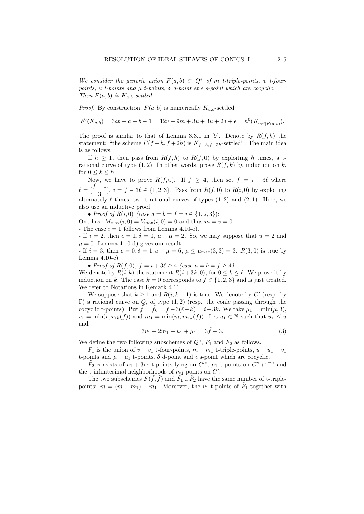We consider the generic union  $F(a, b) \subset Q^*$  of m t-triple-points, v t-fourpoints, u t-points and  $\mu$  t-points,  $\delta$  d-point et  $\epsilon$  s-point which are cocyclic. Then  $F(a, b)$  is  $K_{a,b}$ -settled.

*Proof.* By construction,  $F(a, b)$  is numerically  $K_{a,b}$ -settled:

$$
h^{0}(K_{a,b}) = 3ab - a - b - 1 = 12v + 9m + 3u + 3\mu + 2\delta + \epsilon = h^{0}(K_{a,b|F(a,b)}).
$$

The proof is similar to that of Lemma 3.3.1 in [9]. Denote by  $R(f, h)$  the statement: "the scheme  $F(f+h, f+2h)$  is  $K_{f+h,f+2h}$ -settled". The main idea is as follows.

If  $h \geq 1$ , then pass from  $R(f, h)$  to  $R(f, 0)$  by exploiting h times, a trational curve of type  $(1, 2)$ . In other words, prove  $R(f, k)$  by induction on k, for  $0 \leq k \leq h$ .

Now, we have to prove  $R(f, 0)$ . If  $f \geq 4$ , then set  $f = i + 3\ell$  where  $\ell = \left[\frac{f-1}{3}\right], i = f - 3\ell \in \{1, 2, 3\}.$  Pass from  $R(f, 0)$  to  $R(i, 0)$  by exploiting alternately  $\ell$  times, two t-rational curves of types  $(1, 2)$  and  $(2, 1)$ . Here, we also use an inductive proof.

• Proof of  $R(i, 0)$  (case  $a = b = f = i \in \{1, 2, 3\}$ ): One has:  $M_{\text{max}}(i, 0) = V_{\text{max}}(i, 0) = 0$  and thus  $m = v = 0$ .

- The case 
$$
i = 1
$$
 follows from Lemma 4.10-c).

- If  $i = 2$ , then  $\epsilon = 1, \delta = 0, u + \mu = 2$ . So, we may suppose that  $u = 2$  and  $\mu = 0$ . Lemma 4.10-d) gives our result.

- If  $i = 3$ , then  $\epsilon = 0, \delta = 1, u + \mu = 6, \mu \leq \mu_{\text{max}}(3, 3) = 3$ .  $R(3, 0)$  is true by Lemma 4.10-e).

• Proof of R(f, 0),  $f = i + 3\ell > 4$  (case  $a = b = f > 4$ ):

We denote by  $R(i, k)$  the statement  $R(i + 3k, 0)$ , for  $0 \le k \le \ell$ . We prove it by induction on k. The case  $k = 0$  corresponds to  $f \in \{1, 2, 3\}$  and is just treated. We refer to Notations in Remark 4.11.

We suppose that  $k \geq 1$  and  $\tilde{R}(i, k-1)$  is true. We denote by C' (resp. by Γ) a rational curve on  $Q$ , of type  $(1, 2)$  (resp. the conic passing through the cocyclic t-points). Put  $\hat{f} = \hat{f}_k = f - 3(\ell - k) = i + 3k$ . We take  $\mu_1 = \min(\mu, 3)$ ,  $v_1 = \min(v, v_{1k}(f))$  and  $m_1 = \min(m, m_{1k}(f))$ . Let  $u_1 \in \mathbb{N}$  such that  $u_1 \leq u$ and

$$
3v_1 + 2m_1 + u_1 + \mu_1 = 3\tilde{f} - 3.
$$
 (3)

We define the two following subschemes of  $Q^*, \tilde{F}_1$  and  $\tilde{F}_2$  as follows.

 $\tilde{F}_1$  is the union of  $v - v_1$  t-four-points,  $m - m_1$  t-triple-points,  $u - u_1 + v_1$ t-points and  $\mu - \mu_1$  t-points,  $\delta$  d-point and  $\epsilon$  s-point which are cocyclic.

 $\tilde{F}_2$  consists of  $u_1 + 3v_1$  t-points lying on  $C^{i*}$ ,  $\mu_1$  t-points on  $C^{i*} \cap \Gamma^*$  and the t-infinitesimal neighborhoods of  $m_1$  points on  $C'$ .

The two subschemes  $F(\tilde{f}, \tilde{f})$  and  $\tilde{F}_1 \cup \tilde{F}_2$  have the same number of t-triplepoints:  $m = (m - m_1) + m_1$ . Moreover, the  $v_1$  t-points of  $\tilde{F}_1$  together with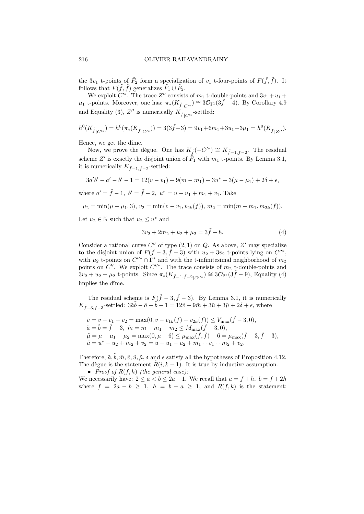the  $3v_1$  t-points of  $\tilde{F}_2$  form a specialization of  $v_1$  t-four-points of  $F(\tilde{f}, \tilde{f})$ . It follows that  $F(\tilde{f}, \tilde{f})$  generalizes  $\tilde{F}_1 \cup \tilde{F}_2$ .

We exploit  $C^{\prime\ast}$ . The trace  $Z^{\prime\prime}$  consists of  $m_1$  t-double-points and  $3v_1 + u_1 +$  $\mu_1$  t-points. Moreover, one has:  $\pi_*(K_{\tilde{f}|C'^*}) \cong 3\mathcal{O}_{\mathbb{P}^1}(3\tilde{f}-4)$ . By Corollary 4.9 and Equality (3),  $Z''$  is numerically  $K_{\tilde{f}|C'^*}$ -settled:

$$
h^{0}(K_{\tilde{f}|C'^{*}}) = h^{0}(\pi_{*}(K_{\tilde{f}|C'^{*}})) = 3(3\tilde{f}-3) = 9v_{1} + 6m_{1} + 3u_{1} + 3\mu_{1} = h^{0}(K_{\tilde{f}|Z''}).
$$

Hence, we get the dîme.

Now, we prove the dègue. One has  $K_{\tilde{f}}(-C'^*) \cong K_{\tilde{f}-1,\tilde{f}-2}$ . The residual scheme Z' is exactly the disjoint union of  $\tilde{F}_1$  with  $m_1$  t-points. By Lemma 3.1, it is numerically  $K_{\tilde{f}-1,\tilde{f}-2}$ -settled:

 $3a'b' - a' - b' - 1 = 12(v - v_1) + 9(m - m_1) + 3u^* + 3(\mu - \mu_1) + 2\delta + \epsilon,$ 

where  $a' = \tilde{f} - 1$ ,  $b' = \tilde{f} - 2$ ,  $u^* = u - u_1 + m_1 + v_1$ . Take

$$
\mu_2 = \min(\mu - \mu_1, 3), v_2 = \min(v - v_1, v_{2k}(f)), m_2 = \min(m - m_1, m_{2k}(f)).
$$

Let  $u_2 \in \mathbb{N}$  such that  $u_2 \leq u^*$  and

$$
3v_2 + 2m_2 + u_2 + \mu_2 = 3\tilde{f} - 8.\tag{4}
$$

Consider a rational curve  $C''$  of type  $(2, 1)$  on  $Q$ . As above,  $Z'$  may specialize to the disjoint union of  $F(\tilde{f} - 3, \tilde{f} - 3)$  with  $u_2 + 3v_2$  t-points lying on  $C''^*$ , with  $\mu_2$  t-points on  $C''^* \cap \Gamma^*$  and with the t-infinitesimal neighborhood of  $m_2$ points on  $C''$ . We exploit  $C''^*$ . The trace consists of  $m_2$  t-double-points and  $3v_2 + u_2 + \mu_2$  t-points. Since  $\pi_*(K_{\tilde{f}-1,\tilde{f}-2|C''^*}) \cong 3\mathcal{O}_{\mathbb{P}^1}(3\tilde{f}-9)$ , Equality (4) implies the dîme.

The residual scheme is  $F(\tilde{f} - 3, \tilde{f} - 3)$ . By Lemma 3.1, it is numerically  $K_{\tilde{f}-3,\tilde{f}-3}$ -settled:  $3\tilde{a}\tilde{b}-\tilde{a}-\tilde{b}-1=12\tilde{v}+9\tilde{m}+3\tilde{u}+3\tilde{\mu}+2\delta+\epsilon$ , where

$$
\tilde{v} = v - v_1 - v_2 = \max(0, v - v_{1k}(f) - v_{2k}(f)) \le V_{\text{max}}(\tilde{f} - 3, 0), \n\tilde{a} = \tilde{b} = \tilde{f} - 3, \ \tilde{m} = m - m_1 - m_2 \le M_{\text{max}}(\tilde{f} - 3, 0), \n\tilde{\mu} = \mu - \mu_1 - \mu_2 = \max(0, \mu - 6) \le \mu_{\text{max}}(\tilde{f}, \tilde{f}) - 6 = \mu_{\text{max}}(\tilde{f} - 3, \tilde{f} - 3), \n\tilde{u} = u^* - u_2 + m_2 + v_2 = u - u_1 - u_2 + m_1 + v_1 + m_2 + v_2.
$$

Therefore,  $\tilde{a}, \tilde{b}, \tilde{m}, \tilde{v}, \tilde{u}, \tilde{\mu}, \delta$  and  $\epsilon$  satisfy all the hypotheses of Proposition 4.12. The dègue is the statement  $R(i, k - 1)$ . It is true by inductive assumption.

• Proof of  $R(f, h)$  (the general case): We necessarily have:  $2 \le a < b \le 2a - 1$ . We recall that  $a = f + h$ ,  $b = f + 2h$ where  $f = 2a - b \ge 1$ ,  $h = b - a \ge 1$ , and  $R(f, k)$  is the statement: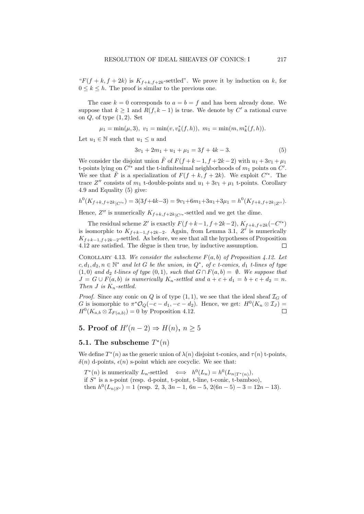" $F(f + k, f + 2k)$  is  $K_{f+k,f+2k}$ -settled". We prove it by induction on k, for  $0 \leq k \leq h$ . The proof is similar to the previous one.

The case  $k = 0$  corresponds to  $a = b = f$  and has been already done. We suppose that  $k \geq 1$  and  $R(f, k-1)$  is true. We denote by C' a rational curve on  $Q$ , of type  $(1, 2)$ . Set

 $\mu_1 = \min(\mu, 3), v_1 = \min(v, v_k^*(f, h)), m_1 = \min(m, m_k^*(f, h)).$ 

Let  $u_1 \in \mathbb{N}$  such that  $u_1 \leq u$  and

$$
3v_1 + 2m_1 + u_1 + \mu_1 = 3f + 4k - 3. \tag{5}
$$

We consider the disjoint union  $\tilde{F}$  of  $F(f+k-1, f+2k-2)$  with  $u_1+3v_1+\mu_1$ t-points lying on  $C^{\prime\ast}$  and the t-infinitesimal neighborhoods of  $m_1$  points on  $C^{\prime}$ . We see that  $\tilde{F}$  is a specialization of  $F(f + k, f + 2k)$ . We exploit  $C^*$ . The trace  $Z''$  consists of  $m_1$  t-double-points and  $u_1 + 3v_1 + \mu_1$  t-points. Corollary 4.9 and Equality (5) give:

$$
h^{0}(K_{f+k,f+2k|C'^{*}}) = 3(3f+4k-3) = 9v_{1}+6m_{1}+3u_{1}+3\mu_{1} = h^{0}(K_{f+k,f+2k|Z''}).
$$

Hence,  $Z''$  is numerically  $K_{f+k,f+2k}|_{C'}$ <sup>\*</sup> -settled and we get the dîme.

The residual scheme Z' is exactly  $F(f+k-1, f+2k-2), K_{f+k,f+2k}(-C')^*$ is isomorphic to  $K_{f+k-1,f+2k-2}$ . Again, from Lemma 3.1, Z' is numerically  $K_{f+k-1,f+2k-2}$ -settled. As before, we see that all the hypotheses of Proposition 4.12 are satisfied. The dègue is then true, by inductive assumption.  $\Box$ 

COROLLARY 4.13. We consider the subscheme  $F(a, b)$  of Proposition 4.12. Let  $c, d_1, d_2, n \in \mathbb{N}^*$  and let G be the union, in  $Q^*$ , of c t-conics,  $d_1$  t-lines of type (1,0) and  $d_2$  t-lines of type (0,1), such that  $G \cap F(a, b) = \emptyset$ . We suppose that  $J = G \cup F(a, b)$  is numerically  $K_n$ -settled and  $a + c + d_1 = b + c + d_2 = n$ . Then J is  $K_n$ -settled.

*Proof.* Since any conic on Q is of type  $(1, 1)$ , we see that the ideal sheaf  $\mathcal{I}_G$  of G is isomorphic to  $\pi^* \mathcal{O}_Q(-c-d_1, -c-d_2)$ . Hence, we get:  $H^0(K_n \otimes \mathcal{I}_J) =$  $H^0(K_{a,b} \otimes \mathcal{I}_{F(a,b)}) = 0$  by Proposition 4.12.  $\Box$ 

**5.** Proof of  $H'(n-2) \Rightarrow H(n), n \geq 5$ 

# 5.1. The subscheme  $T^*(n)$

We define  $T^*(n)$  as the generic union of  $\lambda(n)$  disjoint t-conics, and  $\tau(n)$  t-points,  $\delta(n)$  d-points,  $\epsilon(n)$  s-point which are cocyclic. We see that:

 $T^*(n)$  is numerically  $L_n$ -settled  $\iff h^0(L_n) = h^0(L_{n|T^*(n)}),$ if  $S^*$  is a s-point (resp. d-point, t-point, t-line, t-conic, t-bamboo), then  $h^0(L_{n|S^*}) = 1$  (resp. 2, 3, 3n – 1, 6n – 5, 2(6n – 5) – 3 = 12n – 13).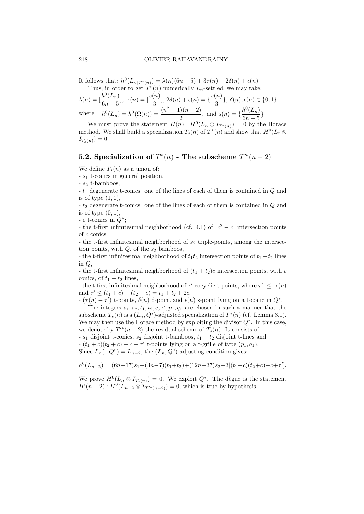### 218 OLIVIER RAHAVANDRAINY

It follows that:  $h^0(L_{n|T^*(n)}) = \lambda(n)(6n-5) + 3\tau(n) + 2\delta(n) + \epsilon(n)$ .

Thus, in order to get  $T^*(n)$  numerically  $L_n$ -settled, we may take:

$$
\lambda(n) = \left[\frac{h^0(L_n)}{6n-5}\right], \ \tau(n) = \left[\frac{s(n)}{3}\right], \ 2\delta(n) + \epsilon(n) = \left\{\frac{s(n)}{3}\right\}, \ \delta(n), \epsilon(n) \in \{0, 1\},
$$
\n
$$
\text{where:} \quad h^0(L_n) = h^0(\Omega(n)) = \frac{(n^2 - 1)(n+2)}{2}, \ \text{and} \ s(n) = \left\{\frac{h^0(L_n)}{6n-5}\right\}.
$$

We must prove the statement  $H(n) : H^0(L_n \otimes I_{T^*(n)}) = 0$  by the Horace method. We shall build a specialization  $T_s(n)$  of  $T^*(n)$  and show that  $H^0(L_n \otimes$  $I_{T_{s}(n)})=0.$ 

# 5.2. Specialization of  $T^*(n)$  - The subscheme  $T^*(n-2)$

We define  $T_s(n)$  as a union of:

- s<sup>1</sup> t-conics in general position,

 $- s_2$  t-bamboos,

 $-t_1$  degenerate t-conics: one of the lines of each of them is contained in  $Q$  and is of type  $(1,0)$ ,

- t<sup>2</sup> degenerate t-conics: one of the lines of each of them is contained in Q and is of type  $(0, 1)$ ,

-  $c$  t-conics in  $Q^*$ ;

- the t-first infinitesimal neighborhood (cf. 4.1) of  $c^2 - c$  intersection points of c conics,

- the t-first infinitesimal neighborhood of  $s_2$  triple-points, among the intersection points, with  $Q$ , of the  $s_2$  bamboos,

- the t-first infinitesimal neighborhood of  $t_1t_2$  intersection points of  $t_1 + t_2$  lines in Q,

- the t-first infinitesimal neighborhood of  $(t_1 + t_2)c$  intersection points, with c conics, of  $t_1 + t_2$  lines,

- the t-first infinitesimal neighborhood of  $\tau'$  cocyclic t-points, where  $\tau' \leq \tau(n)$ and  $\tau' \leq (t_1 + c) + (t_2 + c) = t_1 + t_2 + 2c$ ,

-  $(\tau(n) - \tau')$  t-points,  $\delta(n)$  d-point and  $\epsilon(n)$  s-point lying on a t-conic in  $Q^*$ .

The integers  $s_1, s_2, t_1, t_2, c, \tau', p_1, q_1$  are chosen in such a manner that the subscheme  $T_s(n)$  is a  $(L_n, Q^*)$ -adjusted specialization of  $T^*(n)$  (cf. Lemma 3.1). We may then use the Horace method by exploiting the divisor  $Q^*$ . In this case, we denote by  $T^{\prime *}(n-2)$  the residual scheme of  $T_s(n)$ . It consists of: -  $s_1$  disjoint t-conics,  $s_2$  disjoint t-bamboos,  $t_1 + t_2$  disjoint t-lines and

-  $(t_1 + c)(t_2 + c) - c + \tau'$  t-points lying on a t-grille of type  $(p_1, q_1)$ . Since  $L_n(-Q^*) = L_{n-2}$ , the  $(L_n, Q^*)$ -adjusting condition gives:

$$
h^{0}(L_{n-2}) = (6n-17)s_1 + (3n-7)(t_1+t_2) + (12n-37)s_2 + 3[(t_1+c)(t_2+c)-c+\tau'].
$$

We prove  $H^0(L_n \otimes I_{T_s(n)}) = 0$ . We exploit  $Q^*$ . The dègue is the statement  $H'(n-2): H^0(L_{n-2} \otimes \mathcal{I}_{T'^*(n-2)}) = 0$ , which is true by hypothesis.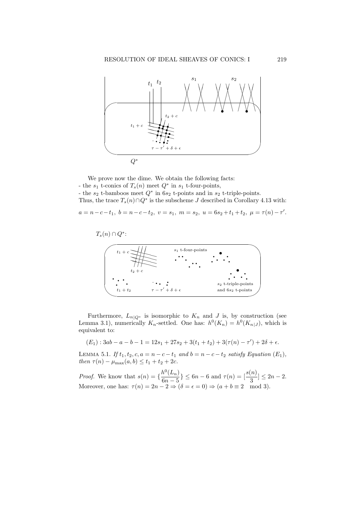

We prove now the dîme. We obtain the following facts: - the  $s_1$  t-conics of  $T_s(n)$  meet  $Q^*$  in  $s_1$  t-four-points, - the  $s_2$  t-bamboos meet  $Q^*$  in  $6s_2$  t-points and in  $s_2$  t-triple-points. Thus, the trace  $T_s(n) \cap Q^*$  is the subscheme J described in Corollary 4.13 with:

 $a = n - c - t_1, b = n - c - t_2, v = s_1, m = s_2, u = 6s_2 + t_1 + t_2, \mu = \tau(n) - \tau'.$ 

$$
T_s(n)\cap Q^*\colon
$$



Furthermore,  $L_{n|Q^*}$  is isomorphic to  $K_n$  and J is, by construction (see Lemma 3.1), numerically  $K_n$ -settled. One has:  $h^0(K_n) = h^0(K_{n|J})$ , which is equivalent to:

$$
(E_1): 3ab - a - b - 1 = 12s_1 + 27s_2 + 3(t_1 + t_2) + 3(\tau(n) - \tau') + 2\delta + \epsilon.
$$

LEMMA 5.1. If  $t_1, t_2, c, a = n - c - t_1$  and  $b = n - c - t_2$  satisfy Equation  $(E_1)$ , then  $\tau(n) - \mu_{\max}(a, b) \le t_1 + t_2 + 2c$ .

*Proof.* We know that  $s(n) = \left\{ \frac{h^0(L_n)}{n} \right\}$  $\frac{h^0(L_n)}{6n-5}$ }  $\leq 6n-6$  and  $\tau(n) = \left[\frac{s(n)}{3}\right] \leq 2n-2$ . Moreover, one has:  $\tau(n) = 2n - 2 \Rightarrow (\delta = \epsilon = 0) \Rightarrow (a + b \equiv 2 \mod 3).$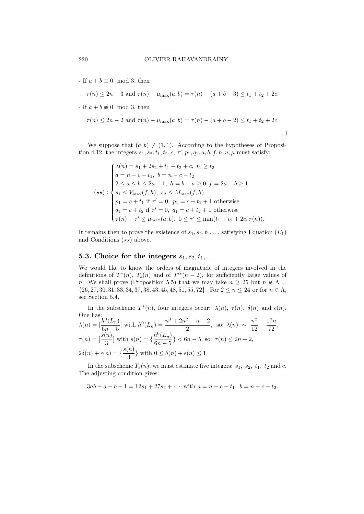- If  $a + b \equiv 0 \mod 3$ , then

$$
\tau(n) \le 2n - 3 \text{ and } \tau(n) - \mu_{\max}(a, b) = \tau(n) - (a + b - 3) \le t_1 + t_2 + 2c.
$$

- If  $a + b \not\equiv 0 \mod 3$ , then

$$
\tau(n) \le 2n - 2 \text{ and } \tau(n) - \mu_{\max}(a, b) = \tau(n) - (a + b - 2) \le t_1 + t_2 + 2c.
$$

 $\Box$ 

We suppose that  $(a, b) \neq (1, 1)$ . According to the hypotheses of Proposition 4.12, the integers  $s_1, s_2, t_1, t_2, c, \tau', p_1, q_1, a, b, f, h, u, \mu$  must satisfy:

$$
(\star \star): \begin{cases} \lambda(n) = s_1 + 2s_2 + t_1 + t_2 + c, \ t_1 \ge t_2 \\ a = n - c - t_1, \ b = n - c - t_2 \\ 2 \le a \le b \le 2a - 1, \ h = b - a \ge 0, f = 2a - b \ge 1 \\ s_1 \le V_{\max}(f, h), \ s_2 \le M_{\max}(f, h) \\ p_1 = c + t_1 \text{ if } \tau' = 0, \ p_1 = c + t_1 + 1 \text{ otherwise} \\ q_1 = c + t_2 \text{ if } \tau' = 0, \ q_1 = c + t_2 + 1 \text{ otherwise} \\ \tau(n) - \tau' \le \mu_{\max}(a, b), \ 0 \le \tau' \le \min(t_1 + t_2 + 2c, \tau(n)). \end{cases}
$$

It remains then to prove the existence of  $s_1, s_2, t_1, \ldots$  satisfying Equation  $(E_1)$ and Conditions  $(\star \star)$  above.

### 5.3. Choice for the integers  $s_1, s_2, t_1, \ldots$

We would like to know the orders of magnitude of integers involved in the definitions of  $T^*(n)$ ,  $T_s(n)$  and of  $T'^*(n-2)$ , for sufficiently large values of n. We shall prove (Proposition 5.5) that we may take  $n > 25$  but  $n \notin \Lambda$  $\{26, 27, 30, 31, 33, 34, 37, 38, 43, 45, 48, 51, 55, 72\}$ . For  $2 \le n \le 24$  or for  $n \in \Lambda$ , see Section 5.4.

In the subscheme  $T^*(n)$ , four integers occur:  $\lambda(n)$ ,  $\tau(n)$ ,  $\delta(n)$  and  $\epsilon(n)$ . One has:  $\lambda(n) = \left[\frac{h^0(L_n)}{2}\right]$  $\frac{h^0(L_n)}{6n-5}$  with  $h^0(L_n) = \frac{n^3 + 2n^2 - n - 2}{2}$  $\frac{n^2 - n - 2}{2}$ , so:  $\lambda(n) \sim \frac{n^2}{12}$  $\frac{n^2}{12} + \frac{17n}{72}$  $rac{1}{72}$ ,  $\tau(n) = \left[\frac{s(n)}{3}\right]$  with  $s(n) = \left\{\frac{h^0(L_n)}{6n - 5}\right\}$ 0  $\frac{\pi}{6n-5}$ } < 6n – 5, so:  $\tau(n) \le 2n-2$ ,  $2\delta(n) + \epsilon(n) = \left\{\frac{s(n)}{n}\right\}$  $\{\frac{\kappa}{3}\}\$  with  $0 \leq \delta(n) + \epsilon(n) \leq 1$ .

In the subscheme  $T_s(n)$ , we must estimate five integers:  $s_1$ ,  $s_2$ ,  $t_1$ ,  $t_2$  and c. The adjusting condition gives:

$$
3ab - a - b - 1 = 12s_1 + 27s_2 + \cdots \text{ with } a = n - c - t_1, \ b = n - c - t_2.
$$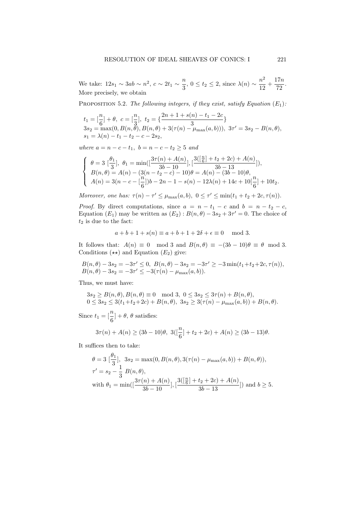We take:  $12s_1 \sim 3ab \sim n^2$ ,  $c \sim 2t_1 \sim \frac{n}{2}$  $\frac{n}{3}$ , 0 ≤ t<sub>2</sub> ≤ 2, since  $\lambda(n) \sim \frac{n^2}{12}$  $\frac{n^2}{12} + \frac{17n}{72}$  $rac{1}{72}$ . More precisely, we obtain

PROPOSITION 5.2. The following integers, if they exist, satisfy Equation  $(E_1)$ :

$$
t_1 = \left[\frac{n}{6}\right] + \theta, \ c = \left[\frac{n}{3}\right], \ t_2 = \left\{\frac{2n+1+s(n)-t_1-2c}{3}\right\}
$$
  
\n
$$
3s_2 = \max(0, B(n, \theta), B(n, \theta) + 3(\tau(n) - \mu_{\max}(a, b))), \ 3\tau' = 3s_2 - B(n, \theta),
$$
  
\n
$$
s_1 = \lambda(n) - t_1 - t_2 - c - 2s_2,
$$

where  $a = n - c - t_1$ ,  $b = n - c - t_2 \ge 5$  and

$$
\left\{\begin{array}{ll} \theta=3\ [\frac{\theta_1}{3}],\ \theta_1=\min([\frac{3\tau(n)+A(n)}{3b-10}],[\frac{3([\frac{n}{6}]+t_2+2c)+A(n)}{3b-13}]),\\ B(n,\theta)=A(n)-(3(n-t_2-c)-10)\theta=A(n)-(3b-10)\theta,\\ A(n)=3(n-c-[\frac{n}{6}])b-2n-1-s(n)-12\lambda(n)+14c+10[\frac{n}{6}]+10t_2. \end{array}\right.
$$

Moreover, one has:  $\tau(n) - \tau' \leq \mu_{\max}(a, b), 0 \leq \tau' \leq \min(t_1 + t_2 + 2c, \tau(n)).$ 

*Proof.* By direct computations, since  $a = n - t_1 - c$  and  $b = n - t_2 - c$ , Equation  $(E_1)$  may be written as  $(E_2)$ :  $B(n, \theta) - 3s_2 + 3\tau' = 0$ . The choice of  $t_2$  is due to the fact:

$$
a+b+1+s(n) \equiv a+b+1+2\delta+\epsilon \equiv 0 \mod 3.
$$

It follows that:  $A(n) \equiv 0 \mod 3$  and  $B(n, \theta) \equiv -(3b - 10)\theta \equiv \theta \mod 3$ . Conditions  $(\star \star)$  and Equation  $(E_2)$  give:

 $B(n, \theta) - 3s_2 = -3\tau' \leq 0, \ B(n, \theta) - 3s_2 = -3\tau' \geq -3\min(t_1 + t_2 + 2c, \tau(n)),$  $B(n, \theta) - 3s_2 = -3\tau' \leq -3(\tau(n) - \mu_{\max}(a, b)).$ 

Thus, we must have:

$$
3s_2 \ge B(n, \theta), B(n, \theta) \equiv 0 \mod 3, \ 0 \le 3s_2 \le 3\tau(n) + B(n, \theta),
$$
  

$$
0 \le 3s_2 \le 3(t_1 + t_2 + 2c) + B(n, \theta), \ 3s_2 \ge 3(\tau(n) - \mu_{\max}(a, b)) + B(n, \theta).
$$

Since  $t_1 = \left[\frac{n}{6}\right] + \theta$ ,  $\theta$  satisfies:

$$
3\tau(n) + A(n) \ge (3b - 10)\theta, \ 3([\frac{n}{6}] + t_2 + 2c) + A(n) \ge (3b - 13)\theta.
$$

It suffices then to take:

$$
\theta = 3 \left[ \frac{\theta_1}{3} \right], \quad 3s_2 = \max(0, B(n, \theta), 3(\tau(n) - \mu_{\max}(a, b)) + B(n, \theta)),
$$
  
\n
$$
\tau' = s_2 - \frac{1}{3} B(n, \theta),
$$
  
\nwith  $\theta_1 = \min\left(\left[ \frac{3\tau(n) + A(n)}{3b - 10} \right], \left[ \frac{3\left(\left[ \frac{n}{6} \right] + t_2 + 2c \right) + A(n)}{3b - 13} \right] \right)$  and  $b \ge 5$ .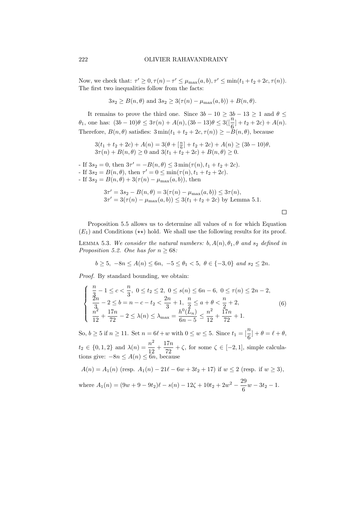Now, we check that:  $\tau' \geq 0$ ,  $\tau(n) - \tau' \leq \mu_{\max}(a, b)$ ,  $\tau' \leq \min(t_1 + t_2 + 2c, \tau(n))$ . The first two inequalities follow from the facts:

$$
3s_2 \ge B(n, \theta)
$$
 and  $3s_2 \ge 3(\tau(n) - \mu_{\max}(a, b)) + B(n, \theta)$ .

It remains to prove the third one. Since  $3b - 10 \ge 3b - 13 \ge 1$  and  $\theta \le$  $θ_1$ , one has:  $(3b - 10)θ ≤ 3τ(n) + A(n), (3b - 13)θ ≤ 3([\frac{n}{6}] + t_2 + 2c) + A(n).$ Therefore,  $B(n, \theta)$  satisfies:  $3 \min(t_1 + t_2 + 2c, \tau(n)) \ge -B(n, \theta)$ , because

$$
3(t_1 + t_2 + 2c) + A(n) = 3(\theta + \left[\frac{n}{6}\right] + t_2 + 2c) + A(n) \ge (3b - 10)\theta,
$$
  
\n
$$
3\tau(n) + B(n, \theta) \ge 0 \text{ and } 3(t_1 + t_2 + 2c) + B(n, \theta) \ge 0.
$$

- If  $3s_2 = 0$ , then  $3\tau' = -B(n, \theta) \leq 3 \min(\tau(n), t_1 + t_2 + 2c)$ .

- If 
$$
3s_2 = B(n, \theta)
$$
, then  $\tau' = 0 \le \min(\tau(n), t_1 + t_2 + 2c)$ .

- If  $3s_2 = B(n, \theta) + 3(\tau(n) - \mu_{\max}(a, b))$ , then

$$
3\tau' = 3s_2 - B(n, \theta) = 3(\tau(n) - \mu_{\max}(a, b)) \le 3\tau(n),
$$
  
\n
$$
3\tau' = 3(\tau(n) - \mu_{\max}(a, b)) \le 3(t_1 + t_2 + 2c)
$$
 by Lemma 5.1.

 $\Box$ 

Proposition 5.5 allows us to determine all values of  $n$  for which Equation  $(E_1)$  and Conditions  $(\star \star)$  hold. We shall use the following results for its proof.

LEMMA 5.3. We consider the natural numbers:  $b, A(n), \theta_1, \theta$  and  $s_2$  defined in Proposition 5.2. One has for  $n \geq 68$ :

$$
b \ge 5, \ -8n \le A(n) \le 6n, \ -5 \le \theta_1 < 5, \ \theta \in \{-3, 0\} \ \text{and} \ s_2 \le 2n.
$$

Proof. By standard bounding, we obtain:

n

$$
\begin{cases}\n\frac{n}{3} - 1 \leq c < \frac{n}{3}, \ 0 \leq t_2 \leq 2, \ 0 \leq s(n) \leq 6n - 6, \ 0 \leq \tau(n) \leq 2n - 2, \\
\frac{2n}{3} - 2 \leq b = n - c - t_2 < \frac{2n}{3} + 1, \ \frac{n}{2} \leq a + \theta < \frac{n}{2} + 2, \\
\frac{n^2}{12} + \frac{17n}{72} - 2 \leq \lambda(n) \leq \lambda_{\text{max}} = \frac{h^0(L_n)}{6n - 5} \leq \frac{n^2}{12} + \frac{17n}{72} + 1.\n\end{cases} \tag{6}
$$

So,  $b \ge 5$  if  $n \ge 11$ . Set  $n = 6\ell + w$  with  $0 \le w \le 5$ . Since  $t_1 = \left[\frac{n}{6}\right] + \theta = \ell + \theta$ ,  $t_2 \in \{0, 1, 2\}$  and  $\lambda(n) = \frac{n^2}{12}$  $\frac{n^2}{12} + \frac{17n}{72}$  $\frac{1}{72} + \zeta$ , for some  $\zeta \in [-2, 1]$ , simple calculations give:  $-8n \leq A(n) \leq 6n$ , because

$$
A(n) = A_1(n) \text{ (resp. } A_1(n) - 21\ell - 6w + 3t_2 + 17 \text{) if } w \le 2 \text{ (resp. if } w \ge 3\text{),}
$$

where 
$$
A_1(n) = (9w + 9 - 9t_2)\ell - s(n) - 12\zeta + 10t_2 + 2w^2 - \frac{29}{6}w - 3t_2 - 1.
$$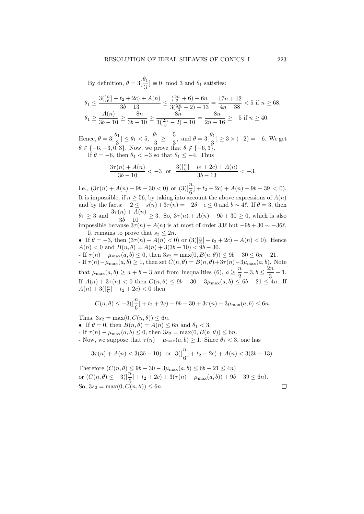By definition,  $\theta = 3\left(\frac{\theta_1}{3}\right) \equiv 0 \mod 3$  and  $\theta_1$  satisfies:

$$
\theta_1 \le \frac{3\left(\left[\frac{n}{6}\right]+t_2+2c\right)+A(n)}{3b-13} \le \frac{\left(\frac{5n}{2}+6\right)+6n}{3\left(\frac{2n}{3}-2\right)-13} = \frac{17n+12}{4n-38} < 5 \text{ if } n \ge 68,
$$
  

$$
\theta_1 \ge \frac{A(n)}{3b-10} \ge \frac{-8n}{3b-10} \ge \frac{-8n}{3\left(\frac{2n}{3}-2\right)-10} = \frac{-8n}{2n-16} \ge -5 \text{ if } n \ge 40.
$$

Hence,  $\theta = 3\left[\frac{\theta_1}{3}\right] \le \theta_1 < 5$ ,  $\frac{\theta_1}{3}$  $\frac{\theta_1}{3} \ge -\frac{5}{3}$  $\frac{5}{3}$ , and  $\theta = 3[\frac{\theta_1}{3}] \ge 3 \times (-2) = -6$ . We get  $\theta \in \{-6, -3, 0, 3\}$ . Now, we prove that  $\theta \notin \{-6, 3\}$ . If  $\theta = -6$ , then  $\theta_1 < -3$  so that  $\theta_1 \le -4$ . Thus

$$
\frac{3\tau(n) + A(n)}{3b - 10} < -3 \quad \text{or} \quad \frac{3\left(\left[\frac{n}{6}\right] + t_2 + 2c\right) + A(n)}{3b - 13} < -3.
$$

i.e.,  $(3\tau(n) + A(n) + 9b - 30 < 0)$  or  $(3([\frac{n}{6}] + t_2 + 2c) + A(n) + 9b - 39 < 0)$ . It is impossible, if  $n \geq 56$ , by taking into account the above expressions of  $A(n)$ and by the facts:  $-2 \leq -s(n) + 3\tau(n) = -2\delta - \epsilon \leq 0$  and  $b \sim 4\ell$ . If  $\theta = 3$ , then  $\theta_1 \geq 3$  and  $\frac{3\tau(n) + A(n)}{3b - 10} \geq 3$ . So,  $3\tau(n) + A(n) - 9b + 30 \geq 0$ , which is also impossible because  $3\tau(n) + A(n)$  is at most of order  $33\ell$  but  $-9b + 30 \sim -36\ell$ . It remains to prove that  $s_2 \leq 2n$ .

• If  $\theta = -3$ , then  $(3\tau(n) + A(n) < 0)$  or  $(3([\frac{n}{6}] + t_2 + 2c) + A(n) < 0)$ . Hence  $A(n) < 0$  and  $B(n, \theta) = A(n) + 3(3b - 10) < 9b - 30$ .

- If  $\tau(n) - \mu_{\max}(a, b) \le 0$ , then  $3s_2 = \max(0, B(n, \theta)) \le 9b - 30 \le 6n - 21$ . - If  $\tau(n)-\mu_{\max}(a, b) \geq 1$ , then set  $C(n, \theta) = B(n, \theta)+3\tau(n)-3\mu_{\max}(a, b)$ . Note that  $\mu_{\max}(a, b) \ge a + b - 3$  and from Inequalities (6),  $a \ge \frac{n}{2}$  $\frac{n}{2}+3, b \leq \frac{2n}{3}$  $\frac{3}{3}+1.$ If  $A(n) + 3\tau(n) < 0$  then  $C(n, \theta) \le 9b - 30 - 3\mu_{\max}(a, b) \le 6b - 21 \le 4n$ . If  $A(n) + 3(\frac{n}{6} + t_2 + 2c) < 0$  then

$$
C(n,\theta) \le -3([\frac{n}{6}]+t_2+2c)+9b-30+3\tau(n)-3\mu_{\max}(a,b) \le 6n.
$$

Thus,  $3s_2 = \max(0, C(n, \theta)) \le 6n$ .

- If  $\theta = 0$ , then  $B(n, \theta) = A(n) \leq 6n$  and  $\theta_1 < 3$ .
- If  $\tau(n) \mu_{\max}(a, b) \le 0$ , then  $3s_2 = \max(0, B(n, \theta)) \le 6n$ .
- Now, we suppose that  $\tau(n) \mu_{\max}(a, b) \geq 1$ . Since  $\theta_1 < 3$ , one has

$$
3\tau(n) + A(n) < 3(3b - 10)
$$
 or  $3\left(\left[\frac{n}{6}\right] + t_2 + 2c\right) + A(n) < 3(3b - 13)$ .

Therefore  $(C(n, \theta) \le 9b - 30 - 3\mu_{\max}(a, b) \le 6b - 21 \le 4n)$ <br>or  $(C(n, \theta) \le -3(\left[\frac{n}{6}\right] + t_2 + 2c) + 3(\tau(n) - \mu_{\max}(a, b)) + 9b - 39 \le 6n)$ .  $\Box$ So,  $3s_2 = \max(0, C(n, \theta)) \le 6n$ .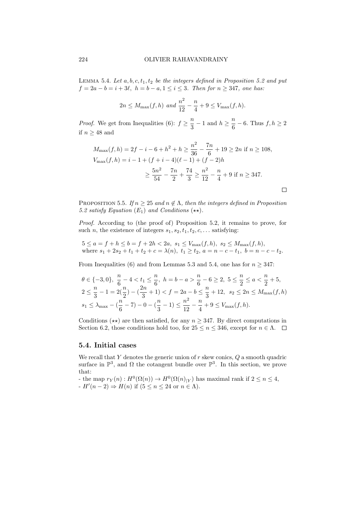LEMMA 5.4. Let  $a, b, c, t_1, t_2$  be the integers defined in Proposition 5.2 and put  $f = 2a - b = i + 3\ell$ ,  $h = b - a$ ,  $1 \le i \le 3$ . Then for  $n \ge 347$ , one has:

$$
2n \leq M_{\max}(f, h)
$$
 and  $\frac{n^2}{12} - \frac{n}{4} + 9 \leq V_{\max}(f, h)$ .

*Proof.* We get from Inequalities (6):  $f \geq \frac{n}{2}$  $\frac{n}{3} - 1$  and  $h \geq \frac{n}{6}$  $\frac{1}{6}$  – 6. Thus  $f, h \geq 2$ if  $n \geq 48$  and

$$
M_{\max}(f, h) = 2f - i - 6 + h^2 + h \ge \frac{n^2}{36} - \frac{7n}{6} + 19 \ge 2n \text{ if } n \ge 108,
$$
  
\n
$$
V_{\max}(f, h) = i - 1 + (f + i - 4)(\ell - 1) + (f - 2)h
$$
  
\n
$$
\ge \frac{5n^2}{54} - \frac{7n}{2} + \frac{74}{3} \ge \frac{n^2}{12} - \frac{n}{4} + 9 \text{ if } n \ge 347.
$$

PROPOSITION 5.5. If  $n \geq 25$  and  $n \notin \Lambda$ , then the integers defined in Proposition 5.2 satisfy Equation  $(E_1)$  and Conditions  $(\star \star)$ .

Proof. According to (the proof of) Proposition 5.2, it remains to prove, for such *n*, the existence of integers  $s_1, s_2, t_1, t_2, c, \ldots$  satisfying:

$$
5 \le a = f + h \le b = f + 2h < 2a, \ s_1 \le V_{\text{max}}(f, h), \ s_2 \le M_{\text{max}}(f, h),
$$
\nwhere  $s_1 + 2s_2 + t_1 + t_2 + c = \lambda(n), \ t_1 \ge t_2, \ a = n - c - t_1, \ b = n - c - t_2.$ 

From Inequalities (6) and from Lemmas 5.3 and 5.4, one has for  $n \geq 347$ :

$$
\theta \in \{-3, 0\}, \ \frac{n}{6} - 4 < t_1 \le \frac{n}{6}, \ h = b - a > \frac{n}{6} - 6 \ge 2, \ 5 \le \frac{n}{2} \le a < \frac{n}{2} + 5,
$$
\n
$$
2 \le \frac{n}{3} - 1 = 2\left(\frac{n}{2}\right) - \left(\frac{2n}{3} + 1\right) < f = 2a - b \le \frac{n}{3} + 12, \ \ s_2 \le 2n \le M_{\text{max}}(f, h)
$$
\n
$$
s_1 \le \lambda_{\text{max}} - \left(\frac{n}{6} - 7\right) - 0 - \left(\frac{n}{3} - 1\right) \le \frac{n^2}{12} - \frac{n}{4} + 9 \le V_{\text{max}}(f, h).
$$

Conditions ( $\star\star$ ) are then satisfied, for any  $n \geq 347$ . By direct computations in Section 6.2, those conditions hold too, for  $25 \le n \le 346$ , except for  $n \in \Lambda$ .  $\Box$ 

# 5.4. Initial cases

We recall that  $Y$  denotes the generic union of  $r$  skew conics,  $Q$  a smooth quadric surface in  $\mathbb{P}^3$ , and  $\Omega$  the cotangent bundle over  $\mathbb{P}^3$ . In this section, we prove that:

- the map  $r_Y(n) : H^0(\Omega(n)) \to H^0(\Omega(n)|_Y)$  has maximal rank if  $2 \le n \le 4$ ,  $-H'(n-2) \Rightarrow H(n)$  if  $(5 \le n \le 24$  or  $n \in \Lambda)$ .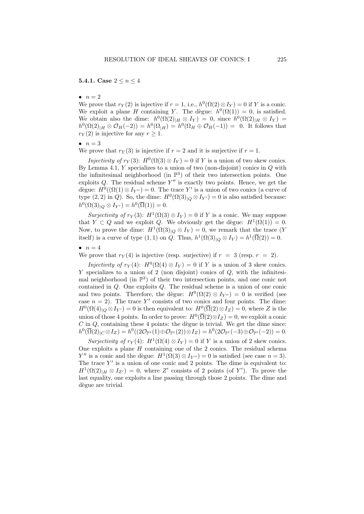**5.4.1.** Case  $2 \le n \le 4$ 

### $\bullet$   $n=2$

We prove that  $r_Y(2)$  is injective if  $r = 1$ , i.e.,  $h^0(\Omega(2) \otimes I_Y) = 0$  if Y is a conic. We exploit a plane H containing Y. The dègue:  $h^0(\Omega(1)) = 0$ , is satisfied. We obtain also the dîme:  $h^0(\Omega(2)_{|H} \otimes I_Y) = 0$ , since  $h^0(\Omega(2)_{|H} \otimes I_Y) =$  $h^0(\Omega(2)_{|H} \otimes \mathcal{O}_H(-2)) = h^0(\Omega_H) = h^0(\Omega_H \oplus \mathcal{O}_H(-1)) = 0.$  It follows that  $r_Y(2)$  is injective for any  $r \geq 1$ .

### $\bullet$   $n=3$

We prove that  $r_Y(3)$  is injective if  $r = 2$  and it is surjective if  $r = 1$ .

*Injectivity of r*<sub>Y</sub>(3):  $H^0(\Omega(3) \otimes I_Y) = 0$  if Y is a union of two skew conics. By Lemma 4.1,  $Y$  specializes to a union of two (non-disjoint) conics in  $Q$  with the infinitesimal neighborhood (in  $\mathbb{P}^3$ ) of their two intersection points. One exploits  $Q$ . The residual scheme  $Y''$  is exactly two points. Hence, we get the dègue:  $H^0((\Omega(1) \otimes I_{Y'}) = 0$ . The trace Y' is a union of two conics (a curve of type  $(2, 2)$  in Q). So, the dîme:  $H^0(\Omega(3)|_Q \otimes I_{Y'}) = 0$  is also satisfied because:  $h^0(\Omega(3)_{\vert Q}\otimes I_{Y'})=h^0(\overline{\Omega}(1))=0.$ 

Surjectivity of  $r_Y(3)$ :  $H^1(\Omega(3) \otimes I_Y) = 0$  if Y is a conic. We may suppose that  $Y \subset Q$  and we exploit Q. We obviously get the dègue:  $H^1(\Omega(1)) = 0$ . Now, to prove the dîme:  $H^1(\Omega(3)|_Q \otimes I_Y) = 0$ , we remark that the trace (Y itself) is a curve of type  $(1,1)$  on Q. Thus,  $h^1(\Omega(3)|_Q \otimes I_Y) = h^1(\overline{\Omega}(2)) = 0$ .

### $\bullet$   $n=4$

We prove that  $r_Y(4)$  is injective (resp. surjective) if  $r = 3$  (resp.  $r = 2$ ).

*Injectivity of r*<sub>Y</sub>(4):  $H^0(\Omega(4) \otimes I_Y) = 0$  if Y is a union of 3 skew conics. Y specializes to a union of 2 (non disjoint) conics of  $Q$ , with the infinitesimal neighborhood (in  $\mathbb{P}^3$ ) of their two intersection points, and one conic not contained in Q. One exploits Q. The residual scheme is a union of one conic and two points. Therefore, the dègue:  $H^0(\Omega(2) \otimes I_{Y''}) = 0$  is verified (see case  $n = 2$ ). The trace Y' consists of two conics and four points. The dîme:  $H^0(\Omega(4)|_Q \otimes I_{Y'}) = 0$  is then equivalent to:  $H^0(\overline{\Omega}(2) \otimes I_Z) = 0$ , where Z is the union of those 4 points. In order to prove:  $H^0(\overline{\Omega}(2)\otimes I_Z) = 0$ , we exploit a conic  $C$  in  $Q$ , containing these 4 points: the dègue is trivial. We get the dîme since:  $h^0(\overline{\Omega}(2)_{|C}\otimes I_Z)=h^0((2\mathcal{O}_{\mathbb{P}^1}(1)\oplus \mathcal{O}_{\mathbb{P}^1}(2))\otimes I_Z)=h^0(2\mathcal{O}_{\mathbb{P}^1}(-3)\oplus \mathcal{O}_{\mathbb{P}^1}(-2))=0.$ 

Surjectivity of  $r_Y(4)$ :  $H^1(\Omega(4) \otimes I_Y) = 0$  if Y is a union of 2 skew conics. One exploits a plane  $H$  containing one of the 2 conics. The residual schema Y'' is a conic and the dègue:  $H^1(\Omega(3) \otimes I_{Y''}) = 0$  is satisfied (see case  $n = 3$ ). The trace  $Y'$  is a union of one conic and 2 points. The dîme is equivalent to:  $H^1(\Omega(2)_{|H} \otimes I_{Z'}) = 0$ , where Z' consists of 2 points (of Y'). To prove the last equality, one exploits a line passing through those 2 points. The dîme and dègue are trivial.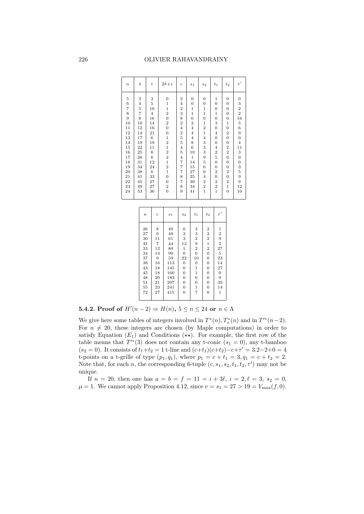| $\boldsymbol{n}$                                     | λ                                                      | $\tau$                                 | $2\delta+\epsilon$                                                     | $\overline{c}$                                                                                             | $\boldsymbol{s}_1$                                                                           | $\sqrt{s_{2}}$                                                            | $t_{1}$                                                                                   | $t_2$                                                                                        | $\tau'$                                                                         |
|------------------------------------------------------|--------------------------------------------------------|----------------------------------------|------------------------------------------------------------------------|------------------------------------------------------------------------------------------------------------|----------------------------------------------------------------------------------------------|---------------------------------------------------------------------------|-------------------------------------------------------------------------------------------|----------------------------------------------------------------------------------------------|---------------------------------------------------------------------------------|
| 5<br>$\begin{array}{c} 6 \\ 7 \\ 8 \\ 9 \end{array}$ | 3<br>$\bf{4}$<br>$\overline{5}$<br>$\overline{7}$<br>8 | 3<br>$\bf 5$<br>10<br>$\sqrt{4}$<br>16 | 0<br>$\,1$<br>$\,1$<br>$\overline{2}$<br>$\boldsymbol{0}$              | $\boldsymbol{2}$<br>$\overline{4}$<br>$\frac{2}{3}$<br>8                                                   | $\boldsymbol{0}$<br>$\boldsymbol{0}$<br>$\frac{1}{1}$                                        | 0<br>$\overline{0}$<br>$\mathbf{1}$<br>$\overline{1}$<br>$\boldsymbol{0}$ | 1<br>$\boldsymbol{0}$<br>$\boldsymbol{0}$<br>$\mathbf{1}$<br>$\boldsymbol{0}$             | $\boldsymbol{0}$<br>$\overline{0}$<br>$\overline{0}$<br>$\overline{0}$<br>$\boldsymbol{0}$   | $\boldsymbol{0}$<br>3<br>$\frac{2}{2}$<br>16                                    |
| 10<br>11<br>12<br>13<br>14                           | 10<br>12<br>14<br>17<br>19                             | 14<br>16<br>21<br>6<br>19              | $\,2$<br>$\boldsymbol{0}$<br>$\boldsymbol{0}$<br>$\mathbf{1}$<br>$\,2$ | $\overline{\mathbf{c}}$<br>$\overline{\mathbf{4}}$<br>$\boldsymbol{2}$<br>$\overline{5}$<br>$\overline{5}$ | $\begin{array}{c} 0 \\ 2 \\ 4 \end{array}$<br>$\overline{4}$<br>$\overline{\mathbf{4}}$<br>8 | $\mathbf{1}$<br>$\,2$<br>$\mathbf{1}$<br>$\overline{4}$<br>3              | 3<br>$\boldsymbol{0}$<br>$\bf{4}$<br>$\boldsymbol{0}$<br>$\boldsymbol{0}$                 | $\mathbf{1}$<br>$\boldsymbol{0}$<br>$\overline{2}$<br>$\overline{0}$<br>$\boldsymbol{0}$     | $\bf 5$<br>$\frac{6}{9}$<br>$\boldsymbol{0}$<br>$\overline{4}$                  |
| 15<br>16<br>17<br>18<br>19                           | 22<br>25<br>28<br>31<br>34                             | 11<br>$\,6$<br>6<br>12<br>24           | $\overline{1}$<br>$\overline{\mathbf{c}}$<br>$\,2$<br>$\,1\,$<br>$\,2$ | $\overline{4}$<br>$\overline{5}$<br>$\overline{4}$<br>7<br>$\overline{7}$                                  | $\overline{6}$<br>10<br>$\,1$<br>14<br>15                                                    | 3<br>3<br>9<br>$\overline{5}$<br>$\,6$                                    | $\bf{4}$<br>$\begin{array}{c} 2 \\ 5 \end{array}$<br>$\boldsymbol{0}$<br>$\boldsymbol{0}$ | $\frac{2}{2}$<br>$\overline{0}$<br>$\boldsymbol{0}$<br>$\boldsymbol{0}$                      | 11<br>3<br>$\boldsymbol{0}$                                                     |
| 20<br>21<br>22<br>23<br>24                           | 38<br>41<br>45<br>49<br>53                             | $\,6$<br>33<br>27<br>27<br>36          | $\mathbf{1}$<br>$\boldsymbol{0}$<br>$\boldsymbol{0}$<br>$_0^2$         | $\overline{7}$<br>8<br>7<br>8<br>9                                                                         | 27<br>25<br>30<br>34<br>41                                                                   | $\boldsymbol{0}$<br>$\overline{4}$<br>$\,2$<br>$\frac{2}{1}$              | $\overline{\mathbf{c}}$<br>$\overline{0}$<br>$\boldsymbol{2}$<br>$\frac{2}{1}$            | $\overline{\mathbf{2}}$<br>$\overline{0}$<br>$\overline{2}$<br>$\mathbf 1$<br>$\overline{0}$ | $\begin{smallmatrix}0&3\3&5\9\end{smallmatrix}$<br>$\boldsymbol{9}$<br>12<br>10 |
|                                                      |                                                        |                                        |                                                                        |                                                                                                            |                                                                                              |                                                                           |                                                                                           |                                                                                              |                                                                                 |

| $\scriptstyle t_1$<br>$t_2$<br>$\overline{c}$<br>$\boldsymbol{n}$<br>$s_1$<br>$s_2$<br>$\tau$<br>8<br>3<br>26<br>49<br>$\boldsymbol{2}$<br>$\boldsymbol{0}$<br>$\mathbf 1$<br>3<br>$\frac{2}{2}$<br>$\overline{2}$<br>9<br>$\,2$<br>27<br>49<br>9<br>$\,2$<br>3<br>30<br>11<br>61<br>9<br>$\,1$<br>$\,2$<br>44<br>13<br>31<br>$\overline{7}$<br>$\,2$<br>$\,2$<br>27<br>12<br>33<br>80<br>$\,1$<br>$\overline{0}$<br>$\boldsymbol{0}$<br>$\bf 5$<br>$\overline{0}$<br>34<br>90<br>14<br>$\boldsymbol{0}$<br>37<br>9<br>22<br>10<br>23<br>59<br>$\boldsymbol{0}$<br>0<br>0<br>38<br>16<br>113<br>14<br>$\,1$<br>$\boldsymbol{0}$<br>$\boldsymbol{0}$<br>43<br>18<br>27<br>145<br>$\mathbf{1}$<br>$\boldsymbol{0}$<br>$\boldsymbol{0}$<br>$\boldsymbol{0}$<br>18<br>45<br>160<br>$\boldsymbol{0}$<br>$\boldsymbol{9}$<br>$\boldsymbol{0}$<br>$\boldsymbol{0}$<br>48<br>20<br>183<br>$\boldsymbol{0}$<br>$\boldsymbol{0}$<br>0<br>39<br>51<br>207<br>21<br>$\frac{1}{7}$<br>$\boldsymbol{0}$<br>$\boldsymbol{0}$<br>55<br>23<br>241<br>14<br>$\mathbf{1}$<br>$\overline{0}$<br>$\overline{0}$<br>72<br>27<br>415 |  |  |  |  |
|---------------------------------------------------------------------------------------------------------------------------------------------------------------------------------------------------------------------------------------------------------------------------------------------------------------------------------------------------------------------------------------------------------------------------------------------------------------------------------------------------------------------------------------------------------------------------------------------------------------------------------------------------------------------------------------------------------------------------------------------------------------------------------------------------------------------------------------------------------------------------------------------------------------------------------------------------------------------------------------------------------------------------------------------------------------------------------------------------------------|--|--|--|--|
|                                                                                                                                                                                                                                                                                                                                                                                                                                                                                                                                                                                                                                                                                                                                                                                                                                                                                                                                                                                                                                                                                                               |  |  |  |  |
|                                                                                                                                                                                                                                                                                                                                                                                                                                                                                                                                                                                                                                                                                                                                                                                                                                                                                                                                                                                                                                                                                                               |  |  |  |  |

**5.4.2. Proof of**  $H'(n-2) \Rightarrow H(n), 5 \le n \le 24$  or  $n \in \Lambda$ 

We give here some tables of integers involved in  $T^*(n)$ ,  $T_s^*(n)$  and in  $T'^*(n-2)$ . For  $n \neq 20$ , these integers are chosen (by Maple computations) in order to satisfy Equation  $(E_1)$  and Conditions  $(\star \star)$ . For example, the first row of the table means that  $T^{'}(3)$  does not contain any t-conic  $(s_1 = 0)$ , any t-bamboo  $(s_2 = 0)$ . It consists of  $t_1+t_2 = 1$  t-line and  $(c+t_1)(c+t_2)-c+\tau' = 3.2-2+0=4$ t-points on a t-grille of type  $(p_1, q_1)$ , where  $p_1 = c + t_1 = 3, q_1 = c + t_2 = 2$ . Note that, for each n, the corresponding 6-tuple  $(c, s_1, s_2, t_1, t_2, \tau')$  may not be unique.

If  $n = 20$ , then one has  $a = b = f = 11 = i + 3\ell$ ,  $i = 2, \ell = 3$ ,  $s_2 = 0$ ,  $\mu = 1$ . We cannot apply Proposition 4.12, since  $v = s_1 = 27 > 19 = V_{\text{max}}(f, 0)$ .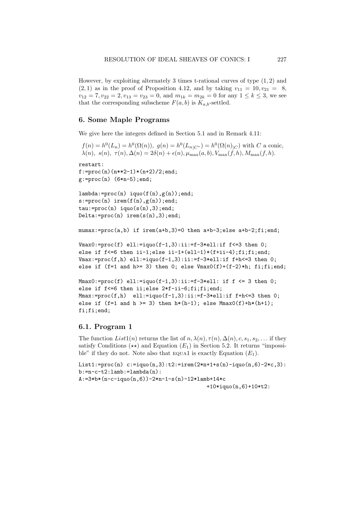However, by exploiting alternately 3 times t-rational curves of type  $(1, 2)$  and  $(2, 1)$  as in the proof of Proposition 4.12, and by taking  $v_{11} = 10, v_{21} = 8$ ,  $v_{12} = 7, v_{22} = 2, v_{13} = v_{23} = 0$ , and  $m_{1k} = m_{2k} = 0$  for any  $1 \leq k \leq 3$ , we see that the corresponding subscheme  $F(a, b)$  is  $K_{a,b}$ -settled.

# 6. Some Maple Programs

We give here the integers defined in Section 5.1 and in Remark 4.11:

```
f(n) = h^0(L_n) = h^0(\Omega(n)), g(n) = h^0(L_{n|C^*}) = h^0(\Omega(n)|C) with C a conic,
 \lambda(n), s(n), \tau(n), \Delta(n) = 2\delta(n) + \epsilon(n), \mu_{\max}(a, b), V_{\max}(f, h), M_{\max}(f, h).restart:
f:=\text{proc}(n)(n**2-1)*(n+2)/2;end;
g:=\text{proc}(n) (6*n-5); end;
lambda:=\text{proc}(n) iquo(f(n),g(n));end;
s:=\text{proc}(n) irem(f(n), g(n)); end;
tau:=proc(n) iquo(s(n),3); end;
Delta:=proc(n) irem(s(n),3);end;
mumax:=proc(a,b) if irem(a+b,3)=0 then a+b-3;else a+b-2;fi;end;
Vmax0: =proc(f) ell:=iquo(f-1,3):ii:=f-3*ell:if f<=3 then 0;
else if f \leq 6 then ii-1;else ii-1+(ell-1)*(f+ii-4);fi;fi;end;
Vmax: =proc(f, h) ell:=iquo(f-1,3):ii:=f-3*ell:if f+h <= 3 then 0;
else if (f=1 and h>= 3) then 0; else VmaxO(f)+(f-2)*h; fi;fi;end;
Mmax0: = proc(f) ell:=iquo(f-1,3):ii:=f-3*ell: if f <= 3 then 0;
else if f<=6 then ii;else 2*f-ii-6;fi;fi;end;
```

```
Mmax: =proc(f, h) ell:=iquo(f-1,3):ii:=f-3*ell:if f+h<=3 then 0;
else if (f=1 and h \ge 3) then h*(h-1); else Mmax0(f)+h*(h+1);
fi:fi:end:
```
# 6.1. Program 1

The function  $List1(n)$  returns the list of  $n, \lambda(n), \tau(n), \Delta(n), c, s_1, s_2, \ldots$  if they satisfy Conditions  $(\star \star)$  and Equation  $(E_1)$  in Section 5.2. It returns "impossible" if they do not. Note also that EQUA1 is exactly Equation  $(E_1)$ .

```
List1:=proc(n) c:=iquo(n,3):t2:=irem(2*n+1+s(n)-iquo(n,6)-2*c,3):
b:=n-c-t2:1amb:=1ambda(n):A:=3*b*(n-c-iquo(n,6))-2*n-1-s(n)-12*lamb+14*c+10*iquo(n,6)+10*t2:
```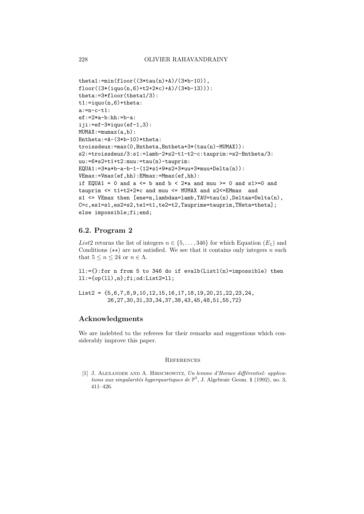```
theta1:=min(floor((3*tau(n)+A)/(3*b-10)),floor((3*(iquo(n,6)+t2+2*c)+A)/(3*b-13))):
theta:=3*floor(theta1/3):
t1:=iquo(n,6)+theta:
a:=n-c-t1:
ef:=2*a-b:hh:=b-a:
iii:=ef-3*iquo(ef-1,3):MUMAX:=mumax(a,b):
Bntheta:=A-(3*b-10)*theta:
troissdeux:=max(0,Bntheta,Bntheta+3*(tau(n)-MUMAX)):
s2:=troissdeux/3:s1:=lamb-2*s2-t1-t2-c:tauprim:=s2-Bntheta/3:
uu:=6*s2+t1+t2:muu:=tau(n)-tauprim:
EQUA1:=3*a*b-a-b-1-(12*s1+9*s2+3*uu+3*muu+Delta(n)):VEmax:=Vmax(ef,hh):EMmax:=Mmax(ef,hh):
if EQUA1 = 0 and a \le b and b \le 2*a and muu >= 0 and s1>=0 and
tauprim \leq t1+t2+2*c and muu \leq MUMAX and s2\leq=EMmax and
s1 <= VEmax then [ene=n, lambdaa=lamb, TAU=tau(n), Deltaa=Delta(n),
C=c,es1=s1,es2=s2,te1=t1,te2=t2,Tauprime=tauprim,THeta=theta];
else impossible;fi;end;
```
# 6.2. Program 2

List2 returns the list of integers  $n \in \{5, \ldots, 346\}$  for which Equation  $(E_1)$  and Conditions  $(\star\star)$  are not satisfied. We see that it contains only integers n such that  $5 \leq n \leq 24$  or  $n \in \Lambda$ .

ll:={}:for n from 5 to 346 do if evalb(List1(n)=impossible) then ll:={op(ll),n};fi;od:List2=ll;

List2 =  ${5, 6, 7, 8, 9, 10, 12, 15, 16, 17, 18, 19, 20, 21, 22, 23, 24,$ 26,27,30,31,33,34,37,38,43,45,48,51,55,72}

# Acknowledgments

We are indebted to the referees for their remarks and suggestions which considerably improve this paper.

### **REFERENCES**

[1] J. ALEXANDER AND A. HIRSCHOWITZ, Un lemme d'Horace différentiel: applications aux singularités hyperquartiques de  $\mathbb{P}^5$ , J. Algebraic Geom. 1 (1992), no. 3, 411–426.